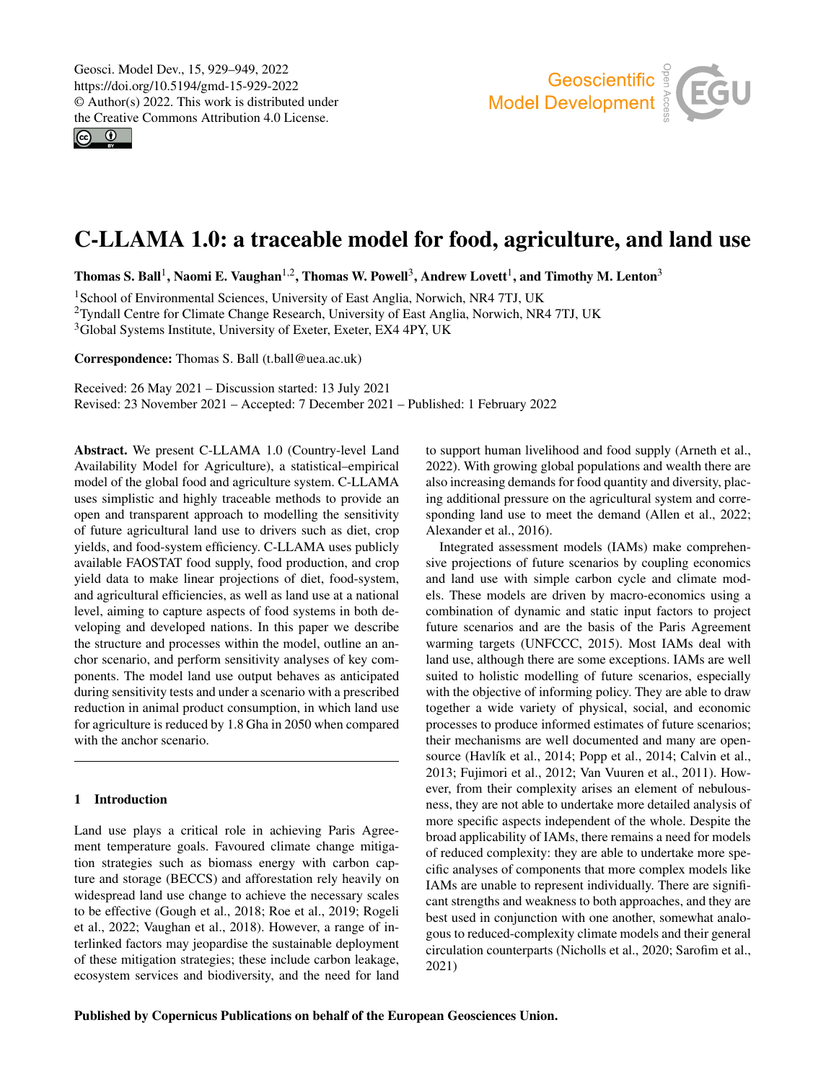$\circ$   $\circ$ 



# C-LLAMA 1.0: a traceable model for food, agriculture, and land use

Thomas S. Ball<sup>[1](#page-0-0)</sup>, Naomi E. Vaughan<sup>[1,2](#page-0-0)</sup>, Thomas W. Powell<sup>[3](#page-0-0)</sup>, Andrew Lovett<sup>1</sup>, and Timothy M. Lenton<sup>3</sup>

<sup>1</sup> School of Environmental Sciences, University of East Anglia, Norwich, NR4 7TJ, UK <sup>2</sup>Tyndall Centre for Climate Change Research, University of East Anglia, Norwich, NR4 7TJ, UK <sup>3</sup>Global Systems Institute, University of Exeter, Exeter, EX4 4PY, UK

Correspondence: Thomas S. Ball (t.ball@uea.ac.uk)

Received: 26 May 2021 – Discussion started: 13 July 2021

Revised: 23 November 2021 – Accepted: 7 December 2021 – Published: 1 February 2022

<span id="page-0-0"></span>Abstract. We present C-LLAMA 1.0 (Country-level Land Availability Model for Agriculture), a statistical–empirical model of the global food and agriculture system. C-LLAMA uses simplistic and highly traceable methods to provide an open and transparent approach to modelling the sensitivity of future agricultural land use to drivers such as diet, crop yields, and food-system efficiency. C-LLAMA uses publicly available FAOSTAT food supply, food production, and crop yield data to make linear projections of diet, food-system, and agricultural efficiencies, as well as land use at a national level, aiming to capture aspects of food systems in both developing and developed nations. In this paper we describe the structure and processes within the model, outline an anchor scenario, and perform sensitivity analyses of key components. The model land use output behaves as anticipated during sensitivity tests and under a scenario with a prescribed reduction in animal product consumption, in which land use for agriculture is reduced by 1.8 Gha in 2050 when compared with the anchor scenario.

# 1 Introduction

Land use plays a critical role in achieving Paris Agreement temperature goals. Favoured climate change mitigation strategies such as biomass energy with carbon capture and storage (BECCS) and afforestation rely heavily on widespread land use change to achieve the necessary scales to be effective (Gough et al., 2018; Roe et al., 2019; Rogeli et al., 2022; Vaughan et al., 2018). However, a range of interlinked factors may jeopardise the sustainable deployment of these mitigation strategies; these include carbon leakage, ecosystem services and biodiversity, and the need for land

to support human livelihood and food supply (Arneth et al., 2022). With growing global populations and wealth there are also increasing demands for food quantity and diversity, placing additional pressure on the agricultural system and corresponding land use to meet the demand (Allen et al., 2022; Alexander et al., 2016).

Integrated assessment models (IAMs) make comprehensive projections of future scenarios by coupling economics and land use with simple carbon cycle and climate models. These models are driven by macro-economics using a combination of dynamic and static input factors to project future scenarios and are the basis of the Paris Agreement warming targets (UNFCCC, 2015). Most IAMs deal with land use, although there are some exceptions. IAMs are well suited to holistic modelling of future scenarios, especially with the objective of informing policy. They are able to draw together a wide variety of physical, social, and economic processes to produce informed estimates of future scenarios; their mechanisms are well documented and many are opensource (Havlík et al., 2014; Popp et al., 2014; Calvin et al., 2013; Fujimori et al., 2012; Van Vuuren et al., 2011). However, from their complexity arises an element of nebulousness, they are not able to undertake more detailed analysis of more specific aspects independent of the whole. Despite the broad applicability of IAMs, there remains a need for models of reduced complexity: they are able to undertake more specific analyses of components that more complex models like IAMs are unable to represent individually. There are significant strengths and weakness to both approaches, and they are best used in conjunction with one another, somewhat analogous to reduced-complexity climate models and their general circulation counterparts (Nicholls et al., 2020; Sarofim et al., 2021)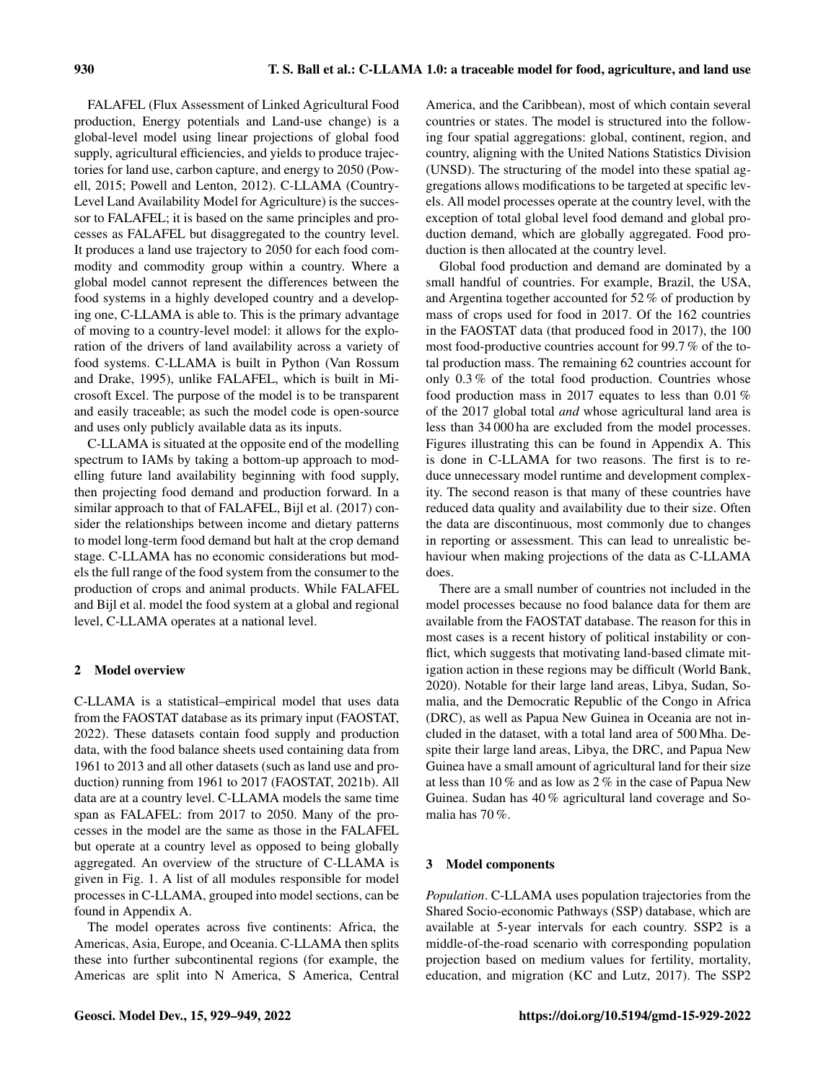FALAFEL (Flux Assessment of Linked Agricultural Food production, Energy potentials and Land-use change) is a global-level model using linear projections of global food supply, agricultural efficiencies, and yields to produce trajectories for land use, carbon capture, and energy to 2050 (Powell, 2015; Powell and Lenton, 2012). C-LLAMA (Country-Level Land Availability Model for Agriculture) is the successor to FALAFEL; it is based on the same principles and processes as FALAFEL but disaggregated to the country level. It produces a land use trajectory to 2050 for each food commodity and commodity group within a country. Where a global model cannot represent the differences between the food systems in a highly developed country and a developing one, C-LLAMA is able to. This is the primary advantage of moving to a country-level model: it allows for the exploration of the drivers of land availability across a variety of food systems. C-LLAMA is built in Python (Van Rossum and Drake, 1995), unlike FALAFEL, which is built in Microsoft Excel. The purpose of the model is to be transparent and easily traceable; as such the model code is open-source and uses only publicly available data as its inputs.

C-LLAMA is situated at the opposite end of the modelling spectrum to IAMs by taking a bottom-up approach to modelling future land availability beginning with food supply, then projecting food demand and production forward. In a similar approach to that of FALAFEL, Bijl et al. (2017) consider the relationships between income and dietary patterns to model long-term food demand but halt at the crop demand stage. C-LLAMA has no economic considerations but models the full range of the food system from the consumer to the production of crops and animal products. While FALAFEL and Bijl et al. model the food system at a global and regional level, C-LLAMA operates at a national level.

## 2 Model overview

C-LLAMA is a statistical–empirical model that uses data from the FAOSTAT database as its primary input (FAOSTAT, 2022). These datasets contain food supply and production data, with the food balance sheets used containing data from 1961 to 2013 and all other datasets (such as land use and production) running from 1961 to 2017 (FAOSTAT, 2021b). All data are at a country level. C-LLAMA models the same time span as FALAFEL: from 2017 to 2050. Many of the processes in the model are the same as those in the FALAFEL but operate at a country level as opposed to being globally aggregated. An overview of the structure of C-LLAMA is given in Fig. 1. A list of all modules responsible for model processes in C-LLAMA, grouped into model sections, can be found in Appendix A.

The model operates across five continents: Africa, the Americas, Asia, Europe, and Oceania. C-LLAMA then splits these into further subcontinental regions (for example, the Americas are split into N America, S America, Central America, and the Caribbean), most of which contain several countries or states. The model is structured into the following four spatial aggregations: global, continent, region, and country, aligning with the United Nations Statistics Division (UNSD). The structuring of the model into these spatial aggregations allows modifications to be targeted at specific levels. All model processes operate at the country level, with the exception of total global level food demand and global production demand, which are globally aggregated. Food production is then allocated at the country level.

Global food production and demand are dominated by a small handful of countries. For example, Brazil, the USA, and Argentina together accounted for 52 % of production by mass of crops used for food in 2017. Of the 162 countries in the FAOSTAT data (that produced food in 2017), the 100 most food-productive countries account for 99.7 % of the total production mass. The remaining 62 countries account for only 0.3 % of the total food production. Countries whose food production mass in 2017 equates to less than 0.01 % of the 2017 global total *and* whose agricultural land area is less than 34 000 ha are excluded from the model processes. Figures illustrating this can be found in Appendix A. This is done in C-LLAMA for two reasons. The first is to reduce unnecessary model runtime and development complexity. The second reason is that many of these countries have reduced data quality and availability due to their size. Often the data are discontinuous, most commonly due to changes in reporting or assessment. This can lead to unrealistic behaviour when making projections of the data as C-LLAMA does.

There are a small number of countries not included in the model processes because no food balance data for them are available from the FAOSTAT database. The reason for this in most cases is a recent history of political instability or conflict, which suggests that motivating land-based climate mitigation action in these regions may be difficult (World Bank, 2020). Notable for their large land areas, Libya, Sudan, Somalia, and the Democratic Republic of the Congo in Africa (DRC), as well as Papua New Guinea in Oceania are not included in the dataset, with a total land area of 500 Mha. Despite their large land areas, Libya, the DRC, and Papua New Guinea have a small amount of agricultural land for their size at less than 10 % and as low as 2 % in the case of Papua New Guinea. Sudan has 40 % agricultural land coverage and Somalia has 70 %.

## 3 Model components

*Population*. C-LLAMA uses population trajectories from the Shared Socio-economic Pathways (SSP) database, which are available at 5-year intervals for each country. SSP2 is a middle-of-the-road scenario with corresponding population projection based on medium values for fertility, mortality, education, and migration (KC and Lutz, 2017). The SSP2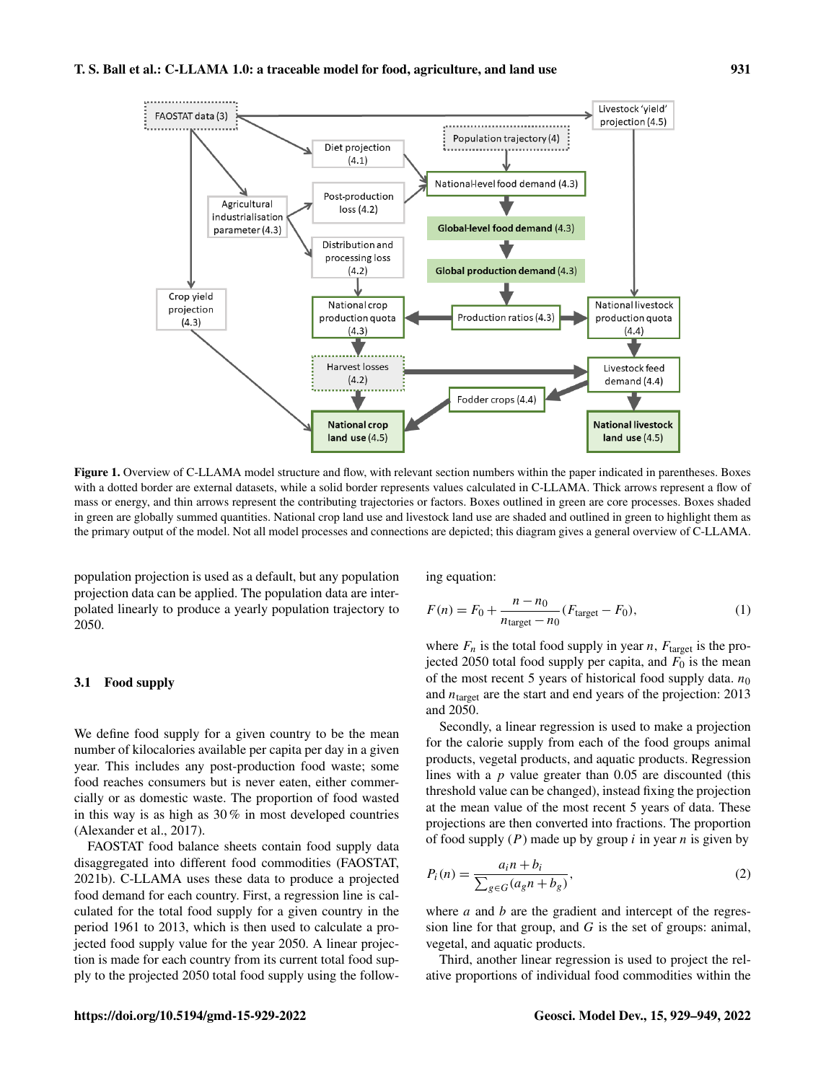# T. S. Ball et al.: C-LLAMA 1.0: a traceable model for food, agriculture, and land use 931



Figure 1. Overview of C-LLAMA model structure and flow, with relevant section numbers within the paper indicated in parentheses. Boxes with a dotted border are external datasets, while a solid border represents values calculated in C-LLAMA. Thick arrows represent a flow of mass or energy, and thin arrows represent the contributing trajectories or factors. Boxes outlined in green are core processes. Boxes shaded in green are globally summed quantities. National crop land use and livestock land use are shaded and outlined in green to highlight them as the primary output of the model. Not all model processes and connections are depicted; this diagram gives a general overview of C-LLAMA.

population projection is used as a default, but any population projection data can be applied. The population data are interpolated linearly to produce a yearly population trajectory to 2050.

## 3.1 Food supply

We define food supply for a given country to be the mean number of kilocalories available per capita per day in a given year. This includes any post-production food waste; some food reaches consumers but is never eaten, either commercially or as domestic waste. The proportion of food wasted in this way is as high as 30 % in most developed countries (Alexander et al., 2017).

FAOSTAT food balance sheets contain food supply data disaggregated into different food commodities (FAOSTAT, 2021b). C-LLAMA uses these data to produce a projected food demand for each country. First, a regression line is calculated for the total food supply for a given country in the period 1961 to 2013, which is then used to calculate a projected food supply value for the year 2050. A linear projection is made for each country from its current total food supply to the projected 2050 total food supply using the following equation:

$$
F(n) = F_0 + \frac{n - n_0}{n_{\text{target}} - n_0} (F_{\text{target}} - F_0),
$$
 (1)

where  $F_n$  is the total food supply in year n,  $F_{\text{target}}$  is the projected 2050 total food supply per capita, and  $F_0$  is the mean of the most recent 5 years of historical food supply data.  $n_0$ and  $n_{\text{target}}$  are the start and end years of the projection: 2013 and 2050.

Secondly, a linear regression is used to make a projection for the calorie supply from each of the food groups animal products, vegetal products, and aquatic products. Regression lines with a  $p$  value greater than 0.05 are discounted (this threshold value can be changed), instead fixing the projection at the mean value of the most recent 5 years of data. These projections are then converted into fractions. The proportion of food supply  $(P)$  made up by group *i* in year *n* is given by

$$
P_i(n) = \frac{a_i n + b_i}{\sum_{g \in G} (a_g n + b_g)},\tag{2}
$$

where  $a$  and  $b$  are the gradient and intercept of the regression line for that group, and  $G$  is the set of groups: animal, vegetal, and aquatic products.

Third, another linear regression is used to project the relative proportions of individual food commodities within the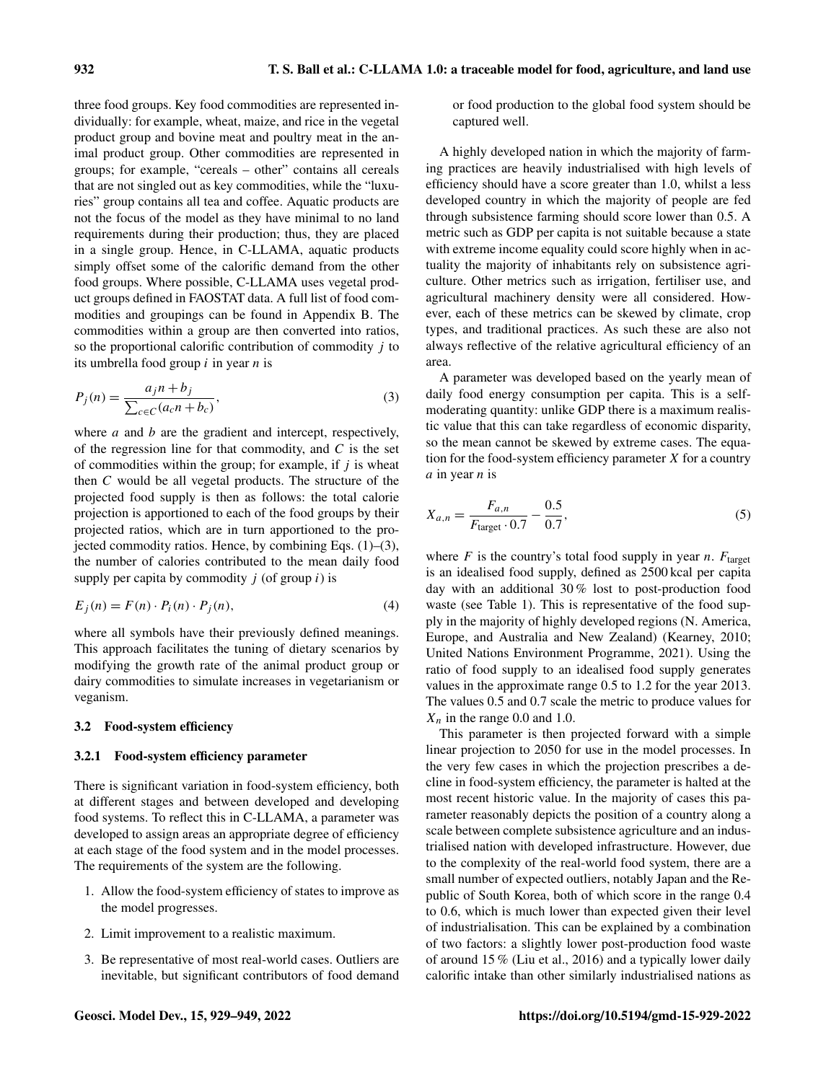three food groups. Key food commodities are represented individually: for example, wheat, maize, and rice in the vegetal product group and bovine meat and poultry meat in the animal product group. Other commodities are represented in groups; for example, "cereals – other" contains all cereals that are not singled out as key commodities, while the "luxuries" group contains all tea and coffee. Aquatic products are not the focus of the model as they have minimal to no land requirements during their production; thus, they are placed in a single group. Hence, in C-LLAMA, aquatic products simply offset some of the calorific demand from the other food groups. Where possible, C-LLAMA uses vegetal product groups defined in FAOSTAT data. A full list of food commodities and groupings can be found in Appendix B. The commodities within a group are then converted into ratios, so the proportional calorific contribution of commodity  $j$  to its umbrella food group  $i$  in year  $n$  is

$$
P_j(n) = \frac{a_j n + b_j}{\sum_{c \in C} (a_c n + b_c)},\tag{3}
$$

where  $a$  and  $b$  are the gradient and intercept, respectively, of the regression line for that commodity, and  $C$  is the set of commodities within the group; for example, if  $j$  is wheat then C would be all vegetal products. The structure of the projected food supply is then as follows: the total calorie projection is apportioned to each of the food groups by their projected ratios, which are in turn apportioned to the projected commodity ratios. Hence, by combining Eqs. (1)–(3), the number of calories contributed to the mean daily food supply per capita by commodity  $j$  (of group  $i$ ) is

$$
E_j(n) = F(n) \cdot P_i(n) \cdot P_j(n), \tag{4}
$$

where all symbols have their previously defined meanings. This approach facilitates the tuning of dietary scenarios by modifying the growth rate of the animal product group or dairy commodities to simulate increases in vegetarianism or veganism.

# 3.2 Food-system efficiency

## 3.2.1 Food-system efficiency parameter

There is significant variation in food-system efficiency, both at different stages and between developed and developing food systems. To reflect this in C-LLAMA, a parameter was developed to assign areas an appropriate degree of efficiency at each stage of the food system and in the model processes. The requirements of the system are the following.

- 1. Allow the food-system efficiency of states to improve as the model progresses.
- 2. Limit improvement to a realistic maximum.
- 3. Be representative of most real-world cases. Outliers are inevitable, but significant contributors of food demand

or food production to the global food system should be captured well.

A highly developed nation in which the majority of farming practices are heavily industrialised with high levels of efficiency should have a score greater than 1.0, whilst a less developed country in which the majority of people are fed through subsistence farming should score lower than 0.5. A metric such as GDP per capita is not suitable because a state with extreme income equality could score highly when in actuality the majority of inhabitants rely on subsistence agriculture. Other metrics such as irrigation, fertiliser use, and agricultural machinery density were all considered. However, each of these metrics can be skewed by climate, crop types, and traditional practices. As such these are also not always reflective of the relative agricultural efficiency of an area.

A parameter was developed based on the yearly mean of daily food energy consumption per capita. This is a selfmoderating quantity: unlike GDP there is a maximum realistic value that this can take regardless of economic disparity, so the mean cannot be skewed by extreme cases. The equation for the food-system efficiency parameter  $X$  for a country  $a$  in year  $n$  is

$$
X_{a,n} = \frac{F_{a,n}}{F_{\text{target}} \cdot 0.7} - \frac{0.5}{0.7},\tag{5}
$$

where  $F$  is the country's total food supply in year  $n$ .  $F_{\text{target}}$ is an idealised food supply, defined as 2500 kcal per capita day with an additional 30 % lost to post-production food waste (see Table 1). This is representative of the food supply in the majority of highly developed regions (N. America, Europe, and Australia and New Zealand) (Kearney, 2010; United Nations Environment Programme, 2021). Using the ratio of food supply to an idealised food supply generates values in the approximate range 0.5 to 1.2 for the year 2013. The values 0.5 and 0.7 scale the metric to produce values for  $X_n$  in the range 0.0 and 1.0.

This parameter is then projected forward with a simple linear projection to 2050 for use in the model processes. In the very few cases in which the projection prescribes a decline in food-system efficiency, the parameter is halted at the most recent historic value. In the majority of cases this parameter reasonably depicts the position of a country along a scale between complete subsistence agriculture and an industrialised nation with developed infrastructure. However, due to the complexity of the real-world food system, there are a small number of expected outliers, notably Japan and the Republic of South Korea, both of which score in the range 0.4 to 0.6, which is much lower than expected given their level of industrialisation. This can be explained by a combination of two factors: a slightly lower post-production food waste of around 15 % (Liu et al., 2016) and a typically lower daily calorific intake than other similarly industrialised nations as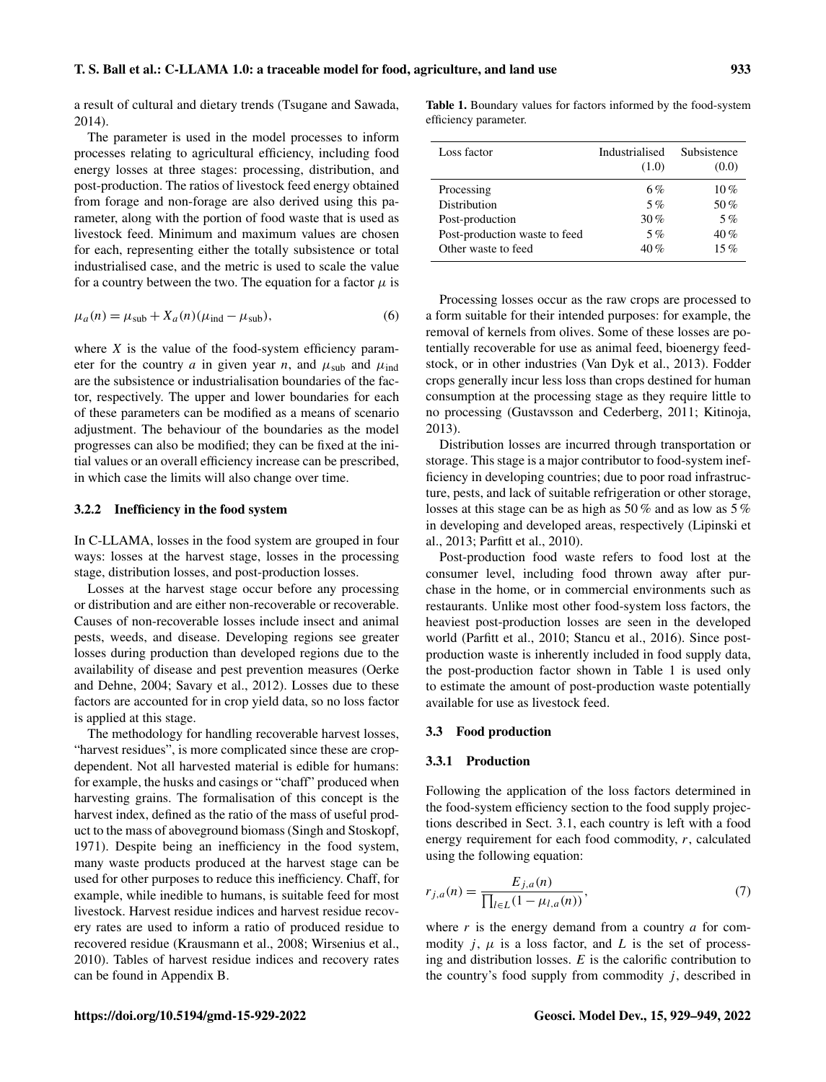a result of cultural and dietary trends (Tsugane and Sawada, 2014).

The parameter is used in the model processes to inform processes relating to agricultural efficiency, including food energy losses at three stages: processing, distribution, and post-production. The ratios of livestock feed energy obtained from forage and non-forage are also derived using this parameter, along with the portion of food waste that is used as livestock feed. Minimum and maximum values are chosen for each, representing either the totally subsistence or total industrialised case, and the metric is used to scale the value for a country between the two. The equation for a factor  $\mu$  is

$$
\mu_a(n) = \mu_{\text{sub}} + X_a(n)(\mu_{\text{ind}} - \mu_{\text{sub}}),
$$
\n(6)

where  $X$  is the value of the food-system efficiency parameter for the country a in given year n, and  $\mu_{sub}$  and  $\mu_{ind}$ are the subsistence or industrialisation boundaries of the factor, respectively. The upper and lower boundaries for each of these parameters can be modified as a means of scenario adjustment. The behaviour of the boundaries as the model progresses can also be modified; they can be fixed at the initial values or an overall efficiency increase can be prescribed, in which case the limits will also change over time.

# 3.2.2 Inefficiency in the food system

In C-LLAMA, losses in the food system are grouped in four ways: losses at the harvest stage, losses in the processing stage, distribution losses, and post-production losses.

Losses at the harvest stage occur before any processing or distribution and are either non-recoverable or recoverable. Causes of non-recoverable losses include insect and animal pests, weeds, and disease. Developing regions see greater losses during production than developed regions due to the availability of disease and pest prevention measures (Oerke and Dehne, 2004; Savary et al., 2012). Losses due to these factors are accounted for in crop yield data, so no loss factor is applied at this stage.

The methodology for handling recoverable harvest losses, "harvest residues", is more complicated since these are cropdependent. Not all harvested material is edible for humans: for example, the husks and casings or "chaff" produced when harvesting grains. The formalisation of this concept is the harvest index, defined as the ratio of the mass of useful product to the mass of aboveground biomass (Singh and Stoskopf, 1971). Despite being an inefficiency in the food system, many waste products produced at the harvest stage can be used for other purposes to reduce this inefficiency. Chaff, for example, while inedible to humans, is suitable feed for most livestock. Harvest residue indices and harvest residue recovery rates are used to inform a ratio of produced residue to recovered residue (Krausmann et al., 2008; Wirsenius et al., 2010). Tables of harvest residue indices and recovery rates can be found in Appendix B.

Table 1. Boundary values for factors informed by the food-system efficiency parameter.

| Loss factor                   | Industrialised<br>(1.0) | Subsistence<br>(0.0) |
|-------------------------------|-------------------------|----------------------|
| Processing                    | 6%                      | $10\%$               |
| Distribution                  | 5%                      | 50%                  |
| Post-production               | 30%                     | 5%                   |
| Post-production waste to feed | 5%                      | 40%                  |
| Other waste to feed           | 40%                     | 15%                  |

Processing losses occur as the raw crops are processed to a form suitable for their intended purposes: for example, the removal of kernels from olives. Some of these losses are potentially recoverable for use as animal feed, bioenergy feedstock, or in other industries (Van Dyk et al., 2013). Fodder crops generally incur less loss than crops destined for human consumption at the processing stage as they require little to no processing (Gustavsson and Cederberg, 2011; Kitinoja, 2013).

Distribution losses are incurred through transportation or storage. This stage is a major contributor to food-system inefficiency in developing countries; due to poor road infrastructure, pests, and lack of suitable refrigeration or other storage, losses at this stage can be as high as 50 % and as low as 5 % in developing and developed areas, respectively (Lipinski et al., 2013; Parfitt et al., 2010).

Post-production food waste refers to food lost at the consumer level, including food thrown away after purchase in the home, or in commercial environments such as restaurants. Unlike most other food-system loss factors, the heaviest post-production losses are seen in the developed world (Parfitt et al., 2010; Stancu et al., 2016). Since postproduction waste is inherently included in food supply data, the post-production factor shown in Table 1 is used only to estimate the amount of post-production waste potentially available for use as livestock feed.

# 3.3 Food production

#### 3.3.1 Production

Following the application of the loss factors determined in the food-system efficiency section to the food supply projections described in Sect. 3.1, each country is left with a food energy requirement for each food commodity, r, calculated using the following equation:

$$
r_{j,a}(n) = \frac{E_{j,a}(n)}{\prod_{l \in L} (1 - \mu_{l,a}(n))},\tag{7}
$$

where  $r$  is the energy demand from a country  $a$  for commodity  $j$ ,  $\mu$  is a loss factor, and  $L$  is the set of processing and distribution losses.  $E$  is the calorific contribution to the country's food supply from commodity  $j$ , described in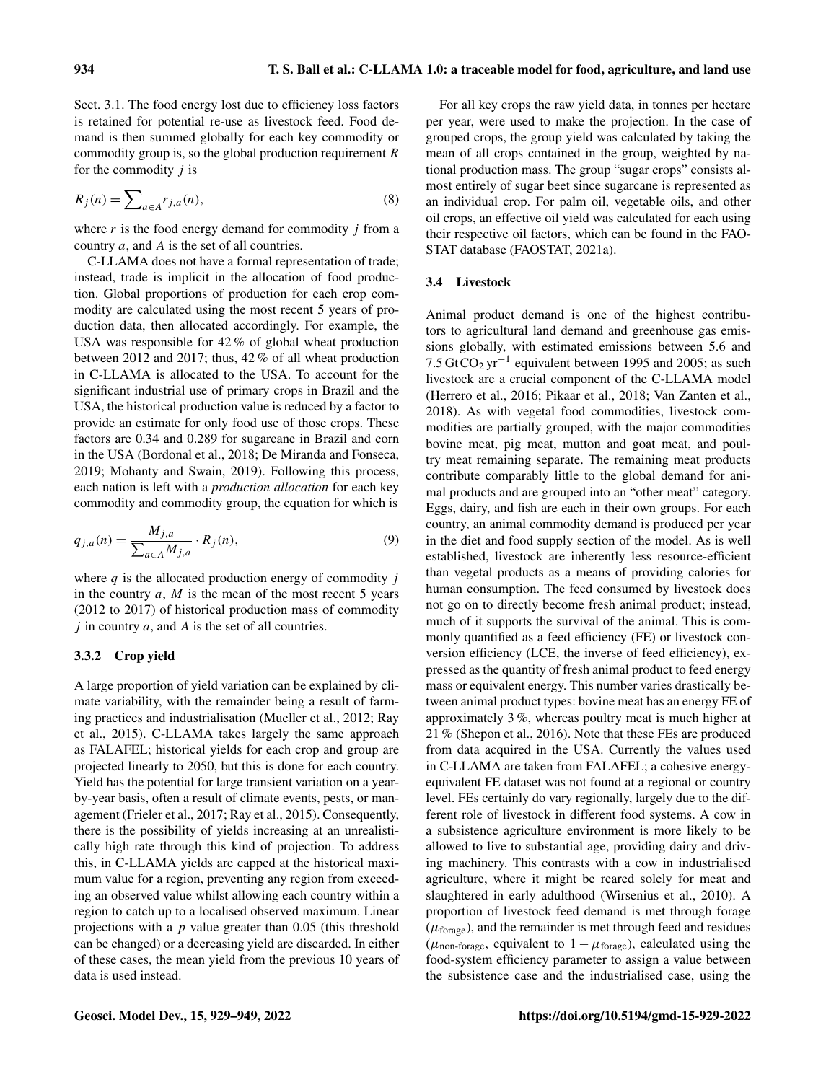Sect. 3.1. The food energy lost due to efficiency loss factors is retained for potential re-use as livestock feed. Food demand is then summed globally for each key commodity or commodity group is, so the global production requirement R for the commodity  $j$  is

$$
R_j(n) = \sum_{a \in A} r_{j,a}(n),\tag{8}
$$

where  $r$  is the food energy demand for commodity  $j$  from a country a, and A is the set of all countries.

C-LLAMA does not have a formal representation of trade; instead, trade is implicit in the allocation of food production. Global proportions of production for each crop commodity are calculated using the most recent 5 years of production data, then allocated accordingly. For example, the USA was responsible for 42 % of global wheat production between 2012 and 2017; thus, 42 % of all wheat production in C-LLAMA is allocated to the USA. To account for the significant industrial use of primary crops in Brazil and the USA, the historical production value is reduced by a factor to provide an estimate for only food use of those crops. These factors are 0.34 and 0.289 for sugarcane in Brazil and corn in the USA (Bordonal et al., 2018; De Miranda and Fonseca, 2019; Mohanty and Swain, 2019). Following this process, each nation is left with a *production allocation* for each key commodity and commodity group, the equation for which is

$$
q_{j,a}(n) = \frac{M_{j,a}}{\sum_{a \in A} M_{j,a}} \cdot R_j(n),\tag{9}
$$

where  $q$  is the allocated production energy of commodity  $j$ in the country  $a, M$  is the mean of the most recent 5 years (2012 to 2017) of historical production mass of commodity  $j$  in country  $a$ , and  $A$  is the set of all countries.

## 3.3.2 Crop yield

A large proportion of yield variation can be explained by climate variability, with the remainder being a result of farming practices and industrialisation (Mueller et al., 2012; Ray et al., 2015). C-LLAMA takes largely the same approach as FALAFEL; historical yields for each crop and group are projected linearly to 2050, but this is done for each country. Yield has the potential for large transient variation on a yearby-year basis, often a result of climate events, pests, or management (Frieler et al., 2017; Ray et al., 2015). Consequently, there is the possibility of yields increasing at an unrealistically high rate through this kind of projection. To address this, in C-LLAMA yields are capped at the historical maximum value for a region, preventing any region from exceeding an observed value whilst allowing each country within a region to catch up to a localised observed maximum. Linear projections with a  $p$  value greater than 0.05 (this threshold can be changed) or a decreasing yield are discarded. In either of these cases, the mean yield from the previous 10 years of data is used instead.

For all key crops the raw yield data, in tonnes per hectare per year, were used to make the projection. In the case of grouped crops, the group yield was calculated by taking the mean of all crops contained in the group, weighted by national production mass. The group "sugar crops" consists almost entirely of sugar beet since sugarcane is represented as an individual crop. For palm oil, vegetable oils, and other oil crops, an effective oil yield was calculated for each using their respective oil factors, which can be found in the FAO-STAT database (FAOSTAT, 2021a).

## 3.4 Livestock

Animal product demand is one of the highest contributors to agricultural land demand and greenhouse gas emissions globally, with estimated emissions between 5.6 and 7.5 GtCO<sub>2</sub> yr<sup>-1</sup> equivalent between 1995 and 2005; as such livestock are a crucial component of the C-LLAMA model (Herrero et al., 2016; Pikaar et al., 2018; Van Zanten et al., 2018). As with vegetal food commodities, livestock commodities are partially grouped, with the major commodities bovine meat, pig meat, mutton and goat meat, and poultry meat remaining separate. The remaining meat products contribute comparably little to the global demand for animal products and are grouped into an "other meat" category. Eggs, dairy, and fish are each in their own groups. For each country, an animal commodity demand is produced per year in the diet and food supply section of the model. As is well established, livestock are inherently less resource-efficient than vegetal products as a means of providing calories for human consumption. The feed consumed by livestock does not go on to directly become fresh animal product; instead, much of it supports the survival of the animal. This is commonly quantified as a feed efficiency (FE) or livestock conversion efficiency (LCE, the inverse of feed efficiency), expressed as the quantity of fresh animal product to feed energy mass or equivalent energy. This number varies drastically between animal product types: bovine meat has an energy FE of approximately 3 %, whereas poultry meat is much higher at 21 % (Shepon et al., 2016). Note that these FEs are produced from data acquired in the USA. Currently the values used in C-LLAMA are taken from FALAFEL; a cohesive energyequivalent FE dataset was not found at a regional or country level. FEs certainly do vary regionally, largely due to the different role of livestock in different food systems. A cow in a subsistence agriculture environment is more likely to be allowed to live to substantial age, providing dairy and driving machinery. This contrasts with a cow in industrialised agriculture, where it might be reared solely for meat and slaughtered in early adulthood (Wirsenius et al., 2010). A proportion of livestock feed demand is met through forage  $(\mu_{\text{forage}})$ , and the remainder is met through feed and residues ( $\mu_{\text{non-forage}}$ , equivalent to  $1 - \mu_{\text{forage}}$ ), calculated using the food-system efficiency parameter to assign a value between the subsistence case and the industrialised case, using the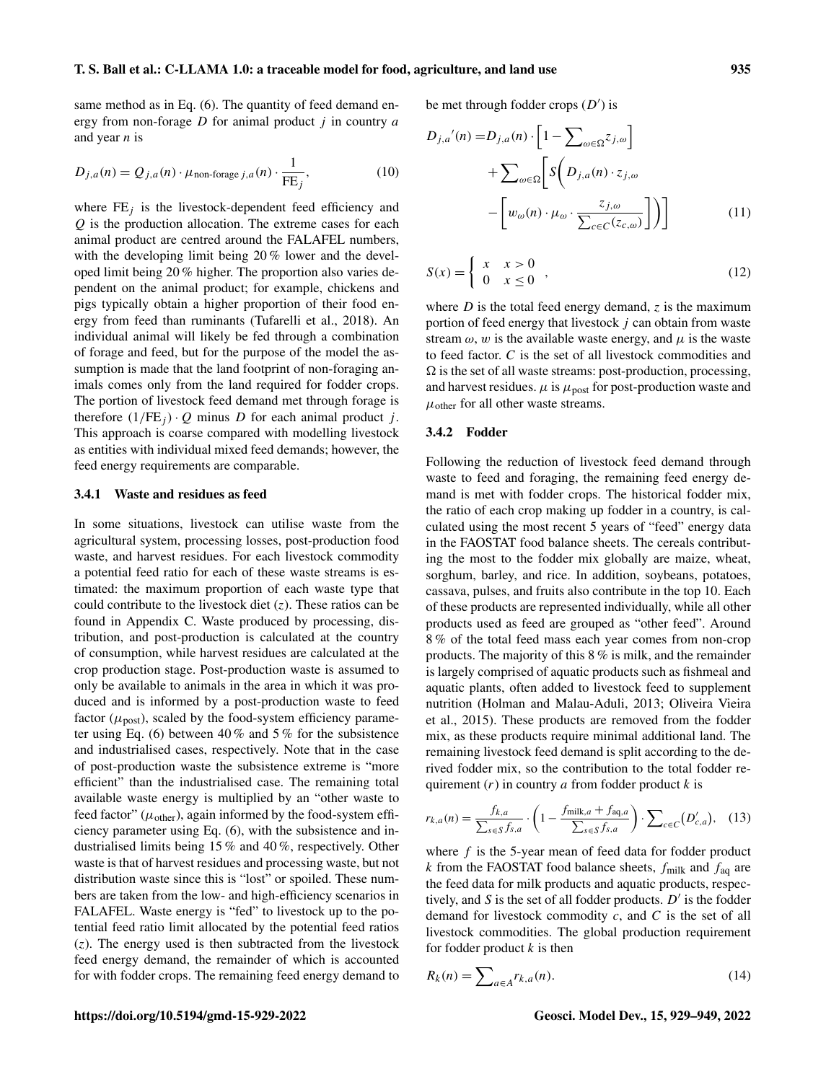same method as in Eq. (6). The quantity of feed demand energy from non-forage  $D$  for animal product  $j$  in country  $a$ and year  $n$  is

$$
D_{j,a}(n) = Q_{j,a}(n) \cdot \mu_{\text{non-forage } j,a}(n) \cdot \frac{1}{\text{FE}_j},\tag{10}
$$

where  $FE<sub>i</sub>$  is the livestock-dependent feed efficiency and Q is the production allocation. The extreme cases for each animal product are centred around the FALAFEL numbers, with the developing limit being 20 % lower and the developed limit being 20 % higher. The proportion also varies dependent on the animal product; for example, chickens and pigs typically obtain a higher proportion of their food energy from feed than ruminants (Tufarelli et al., 2018). An individual animal will likely be fed through a combination of forage and feed, but for the purpose of the model the assumption is made that the land footprint of non-foraging animals comes only from the land required for fodder crops. The portion of livestock feed demand met through forage is therefore  $(1/FE_i) \cdot Q$  minus D for each animal product j. This approach is coarse compared with modelling livestock as entities with individual mixed feed demands; however, the feed energy requirements are comparable.

# 3.4.1 Waste and residues as feed

In some situations, livestock can utilise waste from the agricultural system, processing losses, post-production food waste, and harvest residues. For each livestock commodity a potential feed ratio for each of these waste streams is estimated: the maximum proportion of each waste type that could contribute to the livestock diet  $(z)$ . These ratios can be found in Appendix C. Waste produced by processing, distribution, and post-production is calculated at the country of consumption, while harvest residues are calculated at the crop production stage. Post-production waste is assumed to only be available to animals in the area in which it was produced and is informed by a post-production waste to feed factor ( $\mu_{\text{post}}$ ), scaled by the food-system efficiency parameter using Eq. (6) between  $40\%$  and  $5\%$  for the subsistence and industrialised cases, respectively. Note that in the case of post-production waste the subsistence extreme is "more efficient" than the industrialised case. The remaining total available waste energy is multiplied by an "other waste to feed factor" ( $\mu_{\text{other}}$ ), again informed by the food-system efficiency parameter using Eq. (6), with the subsistence and industrialised limits being 15 % and 40 %, respectively. Other waste is that of harvest residues and processing waste, but not distribution waste since this is "lost" or spoiled. These numbers are taken from the low- and high-efficiency scenarios in FALAFEL. Waste energy is "fed" to livestock up to the potential feed ratio limit allocated by the potential feed ratios  $(z)$ . The energy used is then subtracted from the livestock feed energy demand, the remainder of which is accounted for with fodder crops. The remaining feed energy demand to be met through fodder crops  $(D')$  is

$$
D_{j,a}'(n) = D_{j,a}(n) \cdot \left[1 - \sum_{\omega \in \Omega} z_{j,\omega}\right]
$$

$$
+ \sum_{\omega \in \Omega} \left[ S\left(D_{j,a}(n) \cdot z_{j,\omega}\right) - \left[w_{\omega}(n) \cdot \mu_{\omega} \cdot \frac{z_{j,\omega}}{\sum_{c \in C} (z_{c,\omega})}\right]\right) \right]
$$
(11)

$$
S(x) = \left\{ \begin{array}{ll} x & x > 0 \\ 0 & x \le 0 \end{array} \right. \tag{12}
$$

where  $D$  is the total feed energy demand, z is the maximum portion of feed energy that livestock  $j$  can obtain from waste stream  $\omega$ , w is the available waste energy, and  $\mu$  is the waste to feed factor. C is the set of all livestock commodities and  $\Omega$  is the set of all waste streams: post-production, processing, and harvest residues.  $\mu$  is  $\mu_{\text{post}}$  for post-production waste and  $\mu_{\text{other}}$  for all other waste streams.

# 3.4.2 Fodder

Following the reduction of livestock feed demand through waste to feed and foraging, the remaining feed energy demand is met with fodder crops. The historical fodder mix, the ratio of each crop making up fodder in a country, is calculated using the most recent 5 years of "feed" energy data in the FAOSTAT food balance sheets. The cereals contributing the most to the fodder mix globally are maize, wheat, sorghum, barley, and rice. In addition, soybeans, potatoes, cassava, pulses, and fruits also contribute in the top 10. Each of these products are represented individually, while all other products used as feed are grouped as "other feed". Around 8 % of the total feed mass each year comes from non-crop products. The majority of this 8 % is milk, and the remainder is largely comprised of aquatic products such as fishmeal and aquatic plants, often added to livestock feed to supplement nutrition (Holman and Malau-Aduli, 2013; Oliveira Vieira et al., 2015). These products are removed from the fodder mix, as these products require minimal additional land. The remaining livestock feed demand is split according to the derived fodder mix, so the contribution to the total fodder requirement  $(r)$  in country a from fodder product  $k$  is

$$
r_{k,a}(n) = \frac{f_{k,a}}{\sum_{s \in S} f_{s,a}} \cdot \left(1 - \frac{f_{\text{milk},a} + f_{\text{aq},a}}{\sum_{s \in S} f_{s,a}}\right) \cdot \sum_{c \in C} (D'_{c,a}), \quad (13)
$$

where  $f$  is the 5-year mean of feed data for fodder product k from the FAOSTAT food balance sheets,  $f_{\text{milk}}$  and  $f_{\text{aq}}$  are the feed data for milk products and aquatic products, respectively, and  $S$  is the set of all fodder products.  $D'$  is the fodder demand for livestock commodity  $c$ , and  $C$  is the set of all livestock commodities. The global production requirement for fodder product  $k$  is then

$$
R_k(n) = \sum_{a \in A} r_{k,a}(n). \tag{14}
$$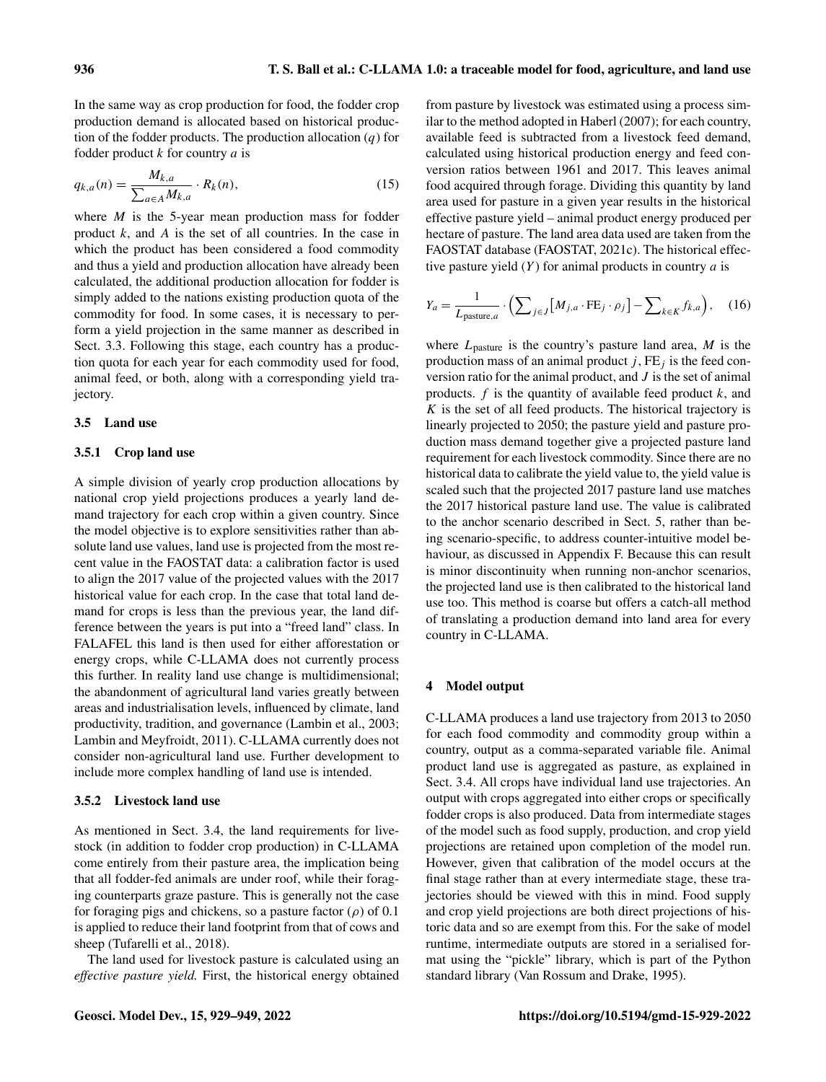In the same way as crop production for food, the fodder crop production demand is allocated based on historical production of the fodder products. The production allocation  $(q)$  for fodder product  $k$  for country  $a$  is

$$
q_{k,a}(n) = \frac{M_{k,a}}{\sum_{a \in A} M_{k,a}} \cdot R_k(n),\tag{15}
$$

where  $M$  is the 5-year mean production mass for fodder product  $k$ , and  $A$  is the set of all countries. In the case in which the product has been considered a food commodity and thus a yield and production allocation have already been calculated, the additional production allocation for fodder is simply added to the nations existing production quota of the commodity for food. In some cases, it is necessary to perform a yield projection in the same manner as described in Sect. 3.3. Following this stage, each country has a production quota for each year for each commodity used for food, animal feed, or both, along with a corresponding yield trajectory.

#### 3.5 Land use

## 3.5.1 Crop land use

A simple division of yearly crop production allocations by national crop yield projections produces a yearly land demand trajectory for each crop within a given country. Since the model objective is to explore sensitivities rather than absolute land use values, land use is projected from the most recent value in the FAOSTAT data: a calibration factor is used to align the 2017 value of the projected values with the 2017 historical value for each crop. In the case that total land demand for crops is less than the previous year, the land difference between the years is put into a "freed land" class. In FALAFEL this land is then used for either afforestation or energy crops, while C-LLAMA does not currently process this further. In reality land use change is multidimensional; the abandonment of agricultural land varies greatly between areas and industrialisation levels, influenced by climate, land productivity, tradition, and governance (Lambin et al., 2003; Lambin and Meyfroidt, 2011). C-LLAMA currently does not consider non-agricultural land use. Further development to include more complex handling of land use is intended.

## 3.5.2 Livestock land use

As mentioned in Sect. 3.4, the land requirements for livestock (in addition to fodder crop production) in C-LLAMA come entirely from their pasture area, the implication being that all fodder-fed animals are under roof, while their foraging counterparts graze pasture. This is generally not the case for foraging pigs and chickens, so a pasture factor  $(\rho)$  of 0.1 is applied to reduce their land footprint from that of cows and sheep (Tufarelli et al., 2018).

The land used for livestock pasture is calculated using an *effective pasture yield.* First, the historical energy obtained

from pasture by livestock was estimated using a process similar to the method adopted in Haberl (2007); for each country, available feed is subtracted from a livestock feed demand, calculated using historical production energy and feed conversion ratios between 1961 and 2017. This leaves animal food acquired through forage. Dividing this quantity by land area used for pasture in a given year results in the historical effective pasture yield – animal product energy produced per hectare of pasture. The land area data used are taken from the FAOSTAT database (FAOSTAT, 2021c). The historical effective pasture yield  $(Y)$  for animal products in country  $a$  is

$$
Y_a = \frac{1}{L_{\text{pasture},a}} \cdot \left( \sum_{j \in J} \left[ M_{j,a} \cdot \text{FE}_j \cdot \rho_j \right] - \sum_{k \in K} f_{k,a} \right), \quad (16)
$$

where  $L_{\text{pasture}}$  is the country's pasture land area, M is the production mass of an animal product  $j$ ,  $FE_j$  is the feed conversion ratio for the animal product, and J is the set of animal products.  $f$  is the quantity of available feed product  $k$ , and K is the set of all feed products. The historical trajectory is linearly projected to 2050; the pasture yield and pasture production mass demand together give a projected pasture land requirement for each livestock commodity. Since there are no historical data to calibrate the yield value to, the yield value is scaled such that the projected 2017 pasture land use matches the 2017 historical pasture land use. The value is calibrated to the anchor scenario described in Sect. 5, rather than being scenario-specific, to address counter-intuitive model behaviour, as discussed in Appendix F. Because this can result is minor discontinuity when running non-anchor scenarios, the projected land use is then calibrated to the historical land use too. This method is coarse but offers a catch-all method of translating a production demand into land area for every country in C-LLAMA.

#### 4 Model output

C-LLAMA produces a land use trajectory from 2013 to 2050 for each food commodity and commodity group within a country, output as a comma-separated variable file. Animal product land use is aggregated as pasture, as explained in Sect. 3.4. All crops have individual land use trajectories. An output with crops aggregated into either crops or specifically fodder crops is also produced. Data from intermediate stages of the model such as food supply, production, and crop yield projections are retained upon completion of the model run. However, given that calibration of the model occurs at the final stage rather than at every intermediate stage, these trajectories should be viewed with this in mind. Food supply and crop yield projections are both direct projections of historic data and so are exempt from this. For the sake of model runtime, intermediate outputs are stored in a serialised format using the "pickle" library, which is part of the Python standard library (Van Rossum and Drake, 1995).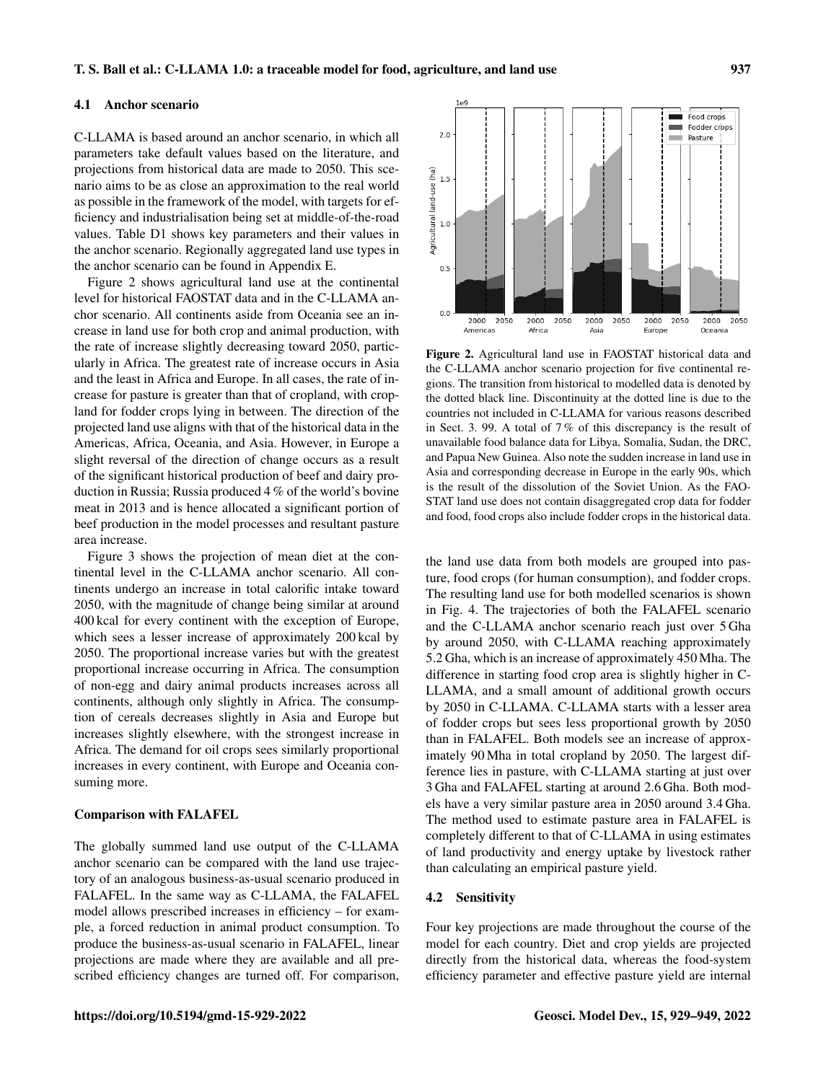#### 4.1 Anchor scenario

C-LLAMA is based around an anchor scenario, in which all parameters take default values based on the literature, and projections from historical data are made to 2050. This scenario aims to be as close an approximation to the real world as possible in the framework of the model, with targets for efficiency and industrialisation being set at middle-of-the-road values. Table D1 shows key parameters and their values in the anchor scenario. Regionally aggregated land use types in the anchor scenario can be found in Appendix E.

Figure 2 shows agricultural land use at the continental level for historical FAOSTAT data and in the C-LLAMA anchor scenario. All continents aside from Oceania see an increase in land use for both crop and animal production, with the rate of increase slightly decreasing toward 2050, particularly in Africa. The greatest rate of increase occurs in Asia and the least in Africa and Europe. In all cases, the rate of increase for pasture is greater than that of cropland, with cropland for fodder crops lying in between. The direction of the projected land use aligns with that of the historical data in the Americas, Africa, Oceania, and Asia. However, in Europe a slight reversal of the direction of change occurs as a result of the significant historical production of beef and dairy production in Russia; Russia produced 4 % of the world's bovine meat in 2013 and is hence allocated a significant portion of beef production in the model processes and resultant pasture area increase.

Figure 3 shows the projection of mean diet at the continental level in the C-LLAMA anchor scenario. All continents undergo an increase in total calorific intake toward 2050, with the magnitude of change being similar at around 400 kcal for every continent with the exception of Europe, which sees a lesser increase of approximately 200 kcal by 2050. The proportional increase varies but with the greatest proportional increase occurring in Africa. The consumption of non-egg and dairy animal products increases across all continents, although only slightly in Africa. The consumption of cereals decreases slightly in Asia and Europe but increases slightly elsewhere, with the strongest increase in Africa. The demand for oil crops sees similarly proportional increases in every continent, with Europe and Oceania consuming more.

## Comparison with FALAFEL

The globally summed land use output of the C-LLAMA anchor scenario can be compared with the land use trajectory of an analogous business-as-usual scenario produced in FALAFEL. In the same way as C-LLAMA, the FALAFEL model allows prescribed increases in efficiency – for example, a forced reduction in animal product consumption. To produce the business-as-usual scenario in FALAFEL, linear projections are made where they are available and all prescribed efficiency changes are turned off. For comparison,



Figure 2. Agricultural land use in FAOSTAT historical data and the C-LLAMA anchor scenario projection for five continental regions. The transition from historical to modelled data is denoted by the dotted black line. Discontinuity at the dotted line is due to the countries not included in C-LLAMA for various reasons described in Sect. 3. 99. A total of 7 % of this discrepancy is the result of unavailable food balance data for Libya, Somalia, Sudan, the DRC, and Papua New Guinea. Also note the sudden increase in land use in Asia and corresponding decrease in Europe in the early 90s, which is the result of the dissolution of the Soviet Union. As the FAO-STAT land use does not contain disaggregated crop data for fodder and food, food crops also include fodder crops in the historical data.

the land use data from both models are grouped into pasture, food crops (for human consumption), and fodder crops. The resulting land use for both modelled scenarios is shown in Fig. 4. The trajectories of both the FALAFEL scenario and the C-LLAMA anchor scenario reach just over 5 Gha by around 2050, with C-LLAMA reaching approximately 5.2 Gha, which is an increase of approximately 450 Mha. The difference in starting food crop area is slightly higher in C-LLAMA, and a small amount of additional growth occurs by 2050 in C-LLAMA. C-LLAMA starts with a lesser area of fodder crops but sees less proportional growth by 2050 than in FALAFEL. Both models see an increase of approximately 90 Mha in total cropland by 2050. The largest difference lies in pasture, with C-LLAMA starting at just over 3 Gha and FALAFEL starting at around 2.6 Gha. Both models have a very similar pasture area in 2050 around 3.4 Gha. The method used to estimate pasture area in FALAFEL is completely different to that of C-LLAMA in using estimates of land productivity and energy uptake by livestock rather than calculating an empirical pasture yield.

# 4.2 Sensitivity

Four key projections are made throughout the course of the model for each country. Diet and crop yields are projected directly from the historical data, whereas the food-system efficiency parameter and effective pasture yield are internal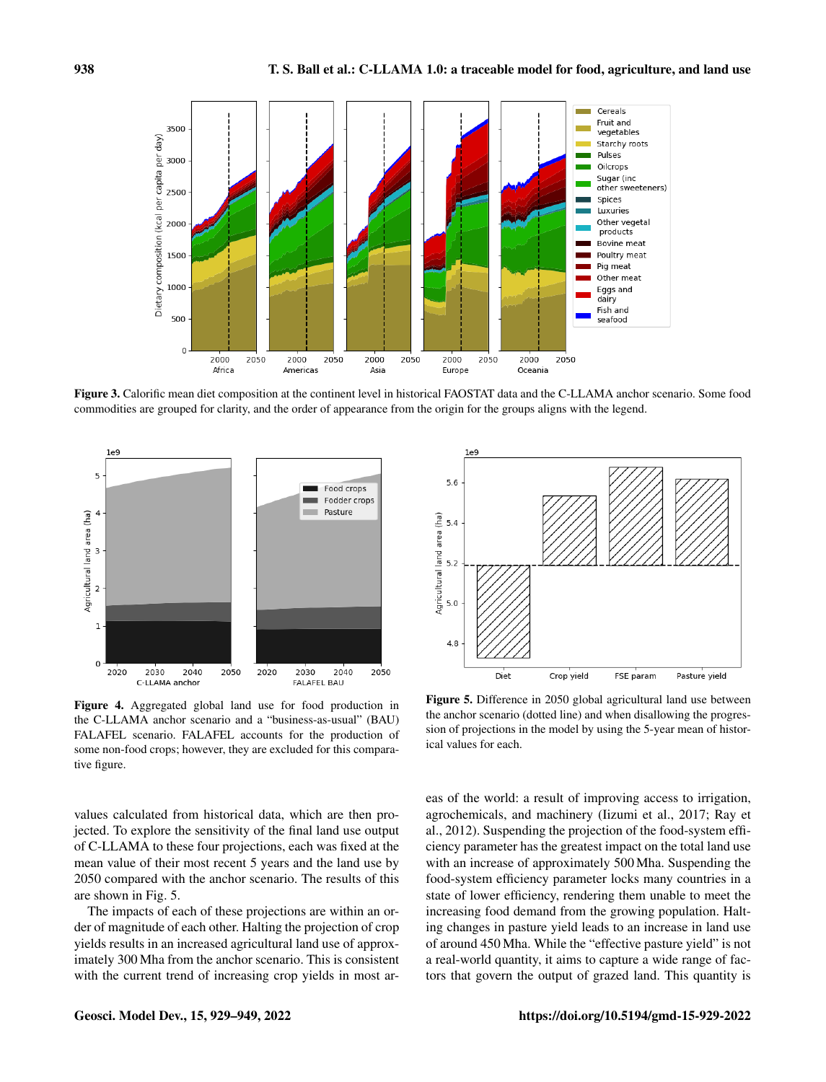

Figure 3. Calorific mean diet composition at the continent level in historical FAOSTAT data and the C-LLAMA anchor scenario. Some food commodities are grouped for clarity, and the order of appearance from the origin for the groups aligns with the legend.





Figure 4. Aggregated global land use for food production in the C-LLAMA anchor scenario and a "business-as-usual" (BAU) FALAFEL scenario. FALAFEL accounts for the production of some non-food crops; however, they are excluded for this comparative figure.

Figure 5. Difference in 2050 global agricultural land use between the anchor scenario (dotted line) and when disallowing the progression of projections in the model by using the 5-year mean of historical values for each.

values calculated from historical data, which are then projected. To explore the sensitivity of the final land use output of C-LLAMA to these four projections, each was fixed at the mean value of their most recent 5 years and the land use by 2050 compared with the anchor scenario. The results of this are shown in Fig. 5.

The impacts of each of these projections are within an order of magnitude of each other. Halting the projection of crop yields results in an increased agricultural land use of approximately 300 Mha from the anchor scenario. This is consistent with the current trend of increasing crop yields in most areas of the world: a result of improving access to irrigation, agrochemicals, and machinery (Iizumi et al., 2017; Ray et al., 2012). Suspending the projection of the food-system efficiency parameter has the greatest impact on the total land use with an increase of approximately 500 Mha. Suspending the food-system efficiency parameter locks many countries in a state of lower efficiency, rendering them unable to meet the increasing food demand from the growing population. Halting changes in pasture yield leads to an increase in land use of around 450 Mha. While the "effective pasture yield" is not a real-world quantity, it aims to capture a wide range of factors that govern the output of grazed land. This quantity is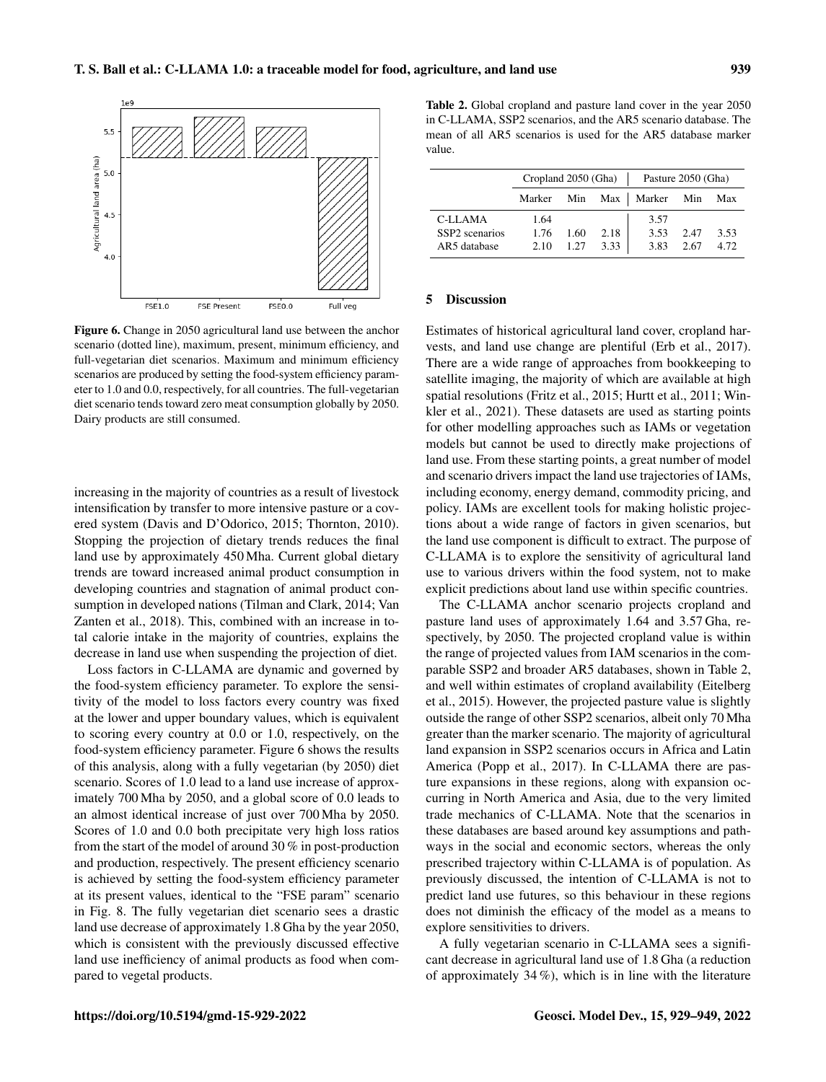

Figure 6. Change in 2050 agricultural land use between the anchor scenario (dotted line), maximum, present, minimum efficiency, and full-vegetarian diet scenarios. Maximum and minimum efficiency scenarios are produced by setting the food-system efficiency parameter to 1.0 and 0.0, respectively, for all countries. The full-vegetarian diet scenario tends toward zero meat consumption globally by 2050. Dairy products are still consumed.

increasing in the majority of countries as a result of livestock intensification by transfer to more intensive pasture or a covered system (Davis and D'Odorico, 2015; Thornton, 2010). Stopping the projection of dietary trends reduces the final land use by approximately 450 Mha. Current global dietary trends are toward increased animal product consumption in developing countries and stagnation of animal product consumption in developed nations (Tilman and Clark, 2014; Van Zanten et al., 2018). This, combined with an increase in total calorie intake in the majority of countries, explains the decrease in land use when suspending the projection of diet.

Loss factors in C-LLAMA are dynamic and governed by the food-system efficiency parameter. To explore the sensitivity of the model to loss factors every country was fixed at the lower and upper boundary values, which is equivalent to scoring every country at 0.0 or 1.0, respectively, on the food-system efficiency parameter. Figure 6 shows the results of this analysis, along with a fully vegetarian (by 2050) diet scenario. Scores of 1.0 lead to a land use increase of approximately 700 Mha by 2050, and a global score of 0.0 leads to an almost identical increase of just over 700 Mha by 2050. Scores of 1.0 and 0.0 both precipitate very high loss ratios from the start of the model of around 30 % in post-production and production, respectively. The present efficiency scenario is achieved by setting the food-system efficiency parameter at its present values, identical to the "FSE param" scenario in Fig. 8. The fully vegetarian diet scenario sees a drastic land use decrease of approximately 1.8 Gha by the year 2050, which is consistent with the previously discussed effective land use inefficiency of animal products as food when compared to vegetal products.

Table 2. Global cropland and pasture land cover in the year 2050 in C-LLAMA, SSP2 scenarios, and the AR5 scenario database. The mean of all AR5 scenarios is used for the AR5 database marker value.

|                | Cropland $2050$ (Gha) |      |      | Pasture 2050 (Gha)          |      |      |  |
|----------------|-----------------------|------|------|-----------------------------|------|------|--|
|                |                       |      |      | Marker Min Max   Marker Min |      | Max  |  |
| C-LLAMA        | 1.64                  |      |      | 3.57                        |      |      |  |
| SSP2 scenarios | 1.76                  | 1.60 | 2.18 | 3.53                        | 2.47 | 3.53 |  |
| AR5 database   | 2.10                  | 1.27 | 3.33 | 3.83                        | 2.67 | 4.72 |  |

#### 5 Discussion

Estimates of historical agricultural land cover, cropland harvests, and land use change are plentiful (Erb et al., 2017). There are a wide range of approaches from bookkeeping to satellite imaging, the majority of which are available at high spatial resolutions (Fritz et al., 2015; Hurtt et al., 2011; Winkler et al., 2021). These datasets are used as starting points for other modelling approaches such as IAMs or vegetation models but cannot be used to directly make projections of land use. From these starting points, a great number of model and scenario drivers impact the land use trajectories of IAMs, including economy, energy demand, commodity pricing, and policy. IAMs are excellent tools for making holistic projections about a wide range of factors in given scenarios, but the land use component is difficult to extract. The purpose of C-LLAMA is to explore the sensitivity of agricultural land use to various drivers within the food system, not to make explicit predictions about land use within specific countries.

The C-LLAMA anchor scenario projects cropland and pasture land uses of approximately 1.64 and 3.57 Gha, respectively, by 2050. The projected cropland value is within the range of projected values from IAM scenarios in the comparable SSP2 and broader AR5 databases, shown in Table 2, and well within estimates of cropland availability (Eitelberg et al., 2015). However, the projected pasture value is slightly outside the range of other SSP2 scenarios, albeit only 70 Mha greater than the marker scenario. The majority of agricultural land expansion in SSP2 scenarios occurs in Africa and Latin America (Popp et al., 2017). In C-LLAMA there are pasture expansions in these regions, along with expansion occurring in North America and Asia, due to the very limited trade mechanics of C-LLAMA. Note that the scenarios in these databases are based around key assumptions and pathways in the social and economic sectors, whereas the only prescribed trajectory within C-LLAMA is of population. As previously discussed, the intention of C-LLAMA is not to predict land use futures, so this behaviour in these regions does not diminish the efficacy of the model as a means to explore sensitivities to drivers.

A fully vegetarian scenario in C-LLAMA sees a significant decrease in agricultural land use of 1.8 Gha (a reduction of approximately 34 %), which is in line with the literature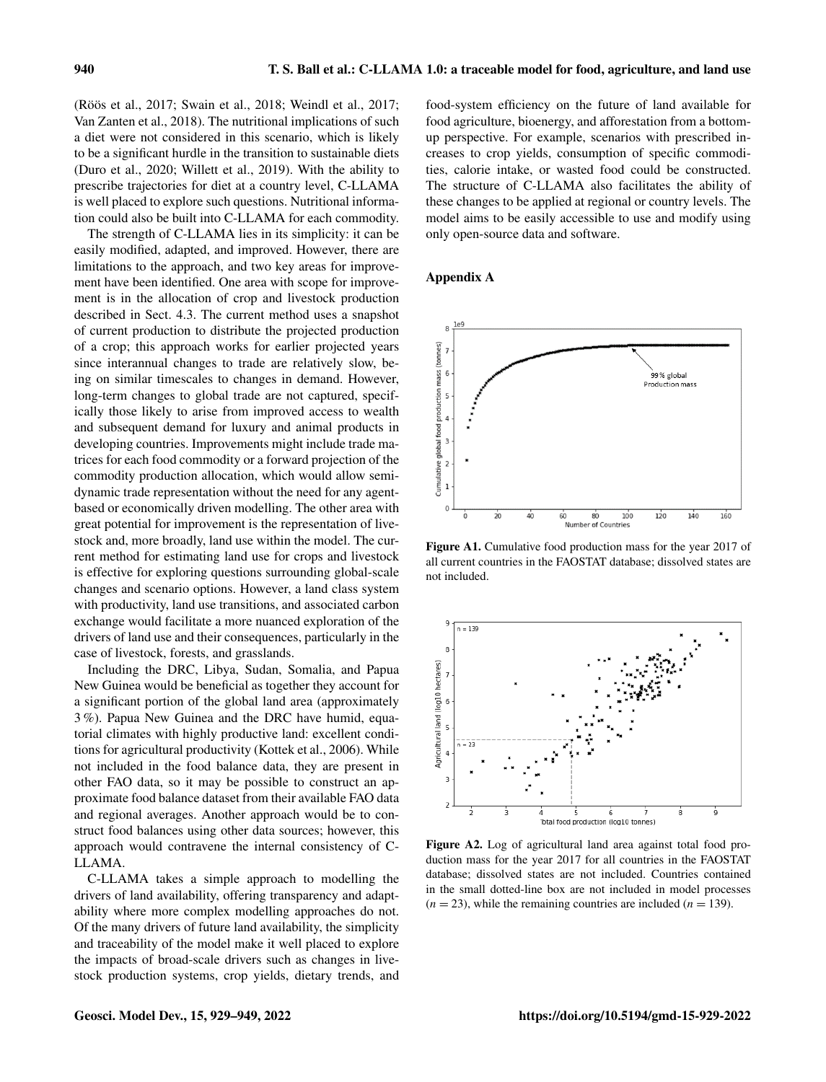(Röös et al., 2017; Swain et al., 2018; Weindl et al., 2017; Van Zanten et al., 2018). The nutritional implications of such a diet were not considered in this scenario, which is likely to be a significant hurdle in the transition to sustainable diets (Duro et al., 2020; Willett et al., 2019). With the ability to prescribe trajectories for diet at a country level, C-LLAMA is well placed to explore such questions. Nutritional information could also be built into C-LLAMA for each commodity.

The strength of C-LLAMA lies in its simplicity: it can be easily modified, adapted, and improved. However, there are limitations to the approach, and two key areas for improvement have been identified. One area with scope for improvement is in the allocation of crop and livestock production described in Sect. 4.3. The current method uses a snapshot of current production to distribute the projected production of a crop; this approach works for earlier projected years since interannual changes to trade are relatively slow, being on similar timescales to changes in demand. However, long-term changes to global trade are not captured, specifically those likely to arise from improved access to wealth and subsequent demand for luxury and animal products in developing countries. Improvements might include trade matrices for each food commodity or a forward projection of the commodity production allocation, which would allow semidynamic trade representation without the need for any agentbased or economically driven modelling. The other area with great potential for improvement is the representation of livestock and, more broadly, land use within the model. The current method for estimating land use for crops and livestock is effective for exploring questions surrounding global-scale changes and scenario options. However, a land class system with productivity, land use transitions, and associated carbon exchange would facilitate a more nuanced exploration of the drivers of land use and their consequences, particularly in the case of livestock, forests, and grasslands.

Including the DRC, Libya, Sudan, Somalia, and Papua New Guinea would be beneficial as together they account for a significant portion of the global land area (approximately 3 %). Papua New Guinea and the DRC have humid, equatorial climates with highly productive land: excellent conditions for agricultural productivity (Kottek et al., 2006). While not included in the food balance data, they are present in other FAO data, so it may be possible to construct an approximate food balance dataset from their available FAO data and regional averages. Another approach would be to construct food balances using other data sources; however, this approach would contravene the internal consistency of C-LLAMA.

C-LLAMA takes a simple approach to modelling the drivers of land availability, offering transparency and adaptability where more complex modelling approaches do not. Of the many drivers of future land availability, the simplicity and traceability of the model make it well placed to explore the impacts of broad-scale drivers such as changes in livestock production systems, crop yields, dietary trends, and

food-system efficiency on the future of land available for food agriculture, bioenergy, and afforestation from a bottomup perspective. For example, scenarios with prescribed increases to crop yields, consumption of specific commodities, calorie intake, or wasted food could be constructed. The structure of C-LLAMA also facilitates the ability of these changes to be applied at regional or country levels. The model aims to be easily accessible to use and modify using only open-source data and software.

# Appendix A



Figure A1. Cumulative food production mass for the year 2017 of all current countries in the FAOSTAT database; dissolved states are not included.



Figure A2. Log of agricultural land area against total food production mass for the year 2017 for all countries in the FAOSTAT database; dissolved states are not included. Countries contained in the small dotted-line box are not included in model processes  $(n = 23)$ , while the remaining countries are included  $(n = 139)$ .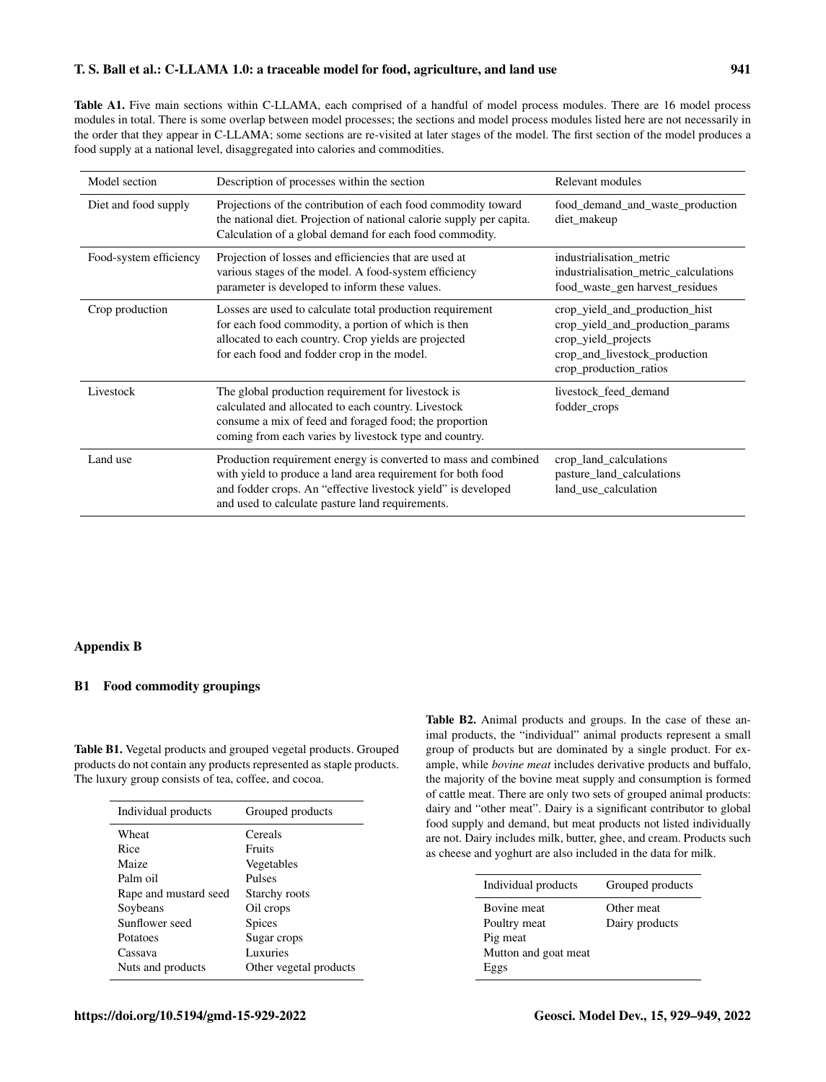# T. S. Ball et al.: C-LLAMA 1.0: a traceable model for food, agriculture, and land use 941

Table A1. Five main sections within C-LLAMA, each comprised of a handful of model process modules. There are 16 model process modules in total. There is some overlap between model processes; the sections and model process modules listed here are not necessarily in the order that they appear in C-LLAMA; some sections are re-visited at later stages of the model. The first section of the model produces a food supply at a national level, disaggregated into calories and commodities.

| Model section          | Description of processes within the section                                                                                                                                                                                                         | Relevant modules                                                                                                                                     |
|------------------------|-----------------------------------------------------------------------------------------------------------------------------------------------------------------------------------------------------------------------------------------------------|------------------------------------------------------------------------------------------------------------------------------------------------------|
| Diet and food supply   | Projections of the contribution of each food commodity toward<br>the national diet. Projection of national calorie supply per capita.<br>Calculation of a global demand for each food commodity.                                                    | food demand and waste production<br>diet_makeup                                                                                                      |
| Food-system efficiency | Projection of losses and efficiencies that are used at<br>various stages of the model. A food-system efficiency<br>parameter is developed to inform these values.                                                                                   | industrialisation metric<br>industrialisation metric calculations<br>food waste gen harvest residues                                                 |
| Crop production        | Losses are used to calculate total production requirement<br>for each food commodity, a portion of which is then<br>allocated to each country. Crop yields are projected<br>for each food and fodder crop in the model.                             | crop_yield_and_production_hist<br>crop_yield_and_production_params<br>crop_yield_projects<br>crop_and_livestock_production<br>crop_production_ratios |
| Livestock              | The global production requirement for livestock is<br>calculated and allocated to each country. Livestock<br>consume a mix of feed and foraged food; the proportion<br>coming from each varies by livestock type and country.                       | livestock feed demand<br>fodder_crops                                                                                                                |
| Land use               | Production requirement energy is converted to mass and combined<br>with yield to produce a land area requirement for both food<br>and fodder crops. An "effective livestock yield" is developed<br>and used to calculate pasture land requirements. | crop_land_calculations<br>pasture_land_calculations<br>land use calculation                                                                          |

# Appendix B

# B1 Food commodity groupings

Table B1. Vegetal products and grouped vegetal products. Grouped products do not contain any products represented as staple products. The luxury group consists of tea, coffee, and cocoa.

| Individual products   | Grouped products       |
|-----------------------|------------------------|
| Wheat                 | Cereals                |
| Rice                  | Fruits                 |
| Maize                 | Vegetables             |
| Palm oil              | Pulses                 |
| Rape and mustard seed | Starchy roots          |
| Soybeans              | Oil crops              |
| Sunflower seed        | <b>Spices</b>          |
| Potatoes              | Sugar crops            |
| Cassava               | Luxuries               |
| Nuts and products     | Other vegetal products |

Table B2. Animal products and groups. In the case of these animal products, the "individual" animal products represent a small group of products but are dominated by a single product. For example, while *bovine meat* includes derivative products and buffalo, the majority of the bovine meat supply and consumption is formed of cattle meat. There are only two sets of grouped animal products: dairy and "other meat". Dairy is a significant contributor to global food supply and demand, but meat products not listed individually are not. Dairy includes milk, butter, ghee, and cream. Products such as cheese and yoghurt are also included in the data for milk.

| <b>Bovine</b> meat<br>Other meat<br>Dairy products<br>Poultry meat<br>Pig meat<br>Mutton and goat meat | Individual products | Grouped products |
|--------------------------------------------------------------------------------------------------------|---------------------|------------------|
|                                                                                                        | Eggs                |                  |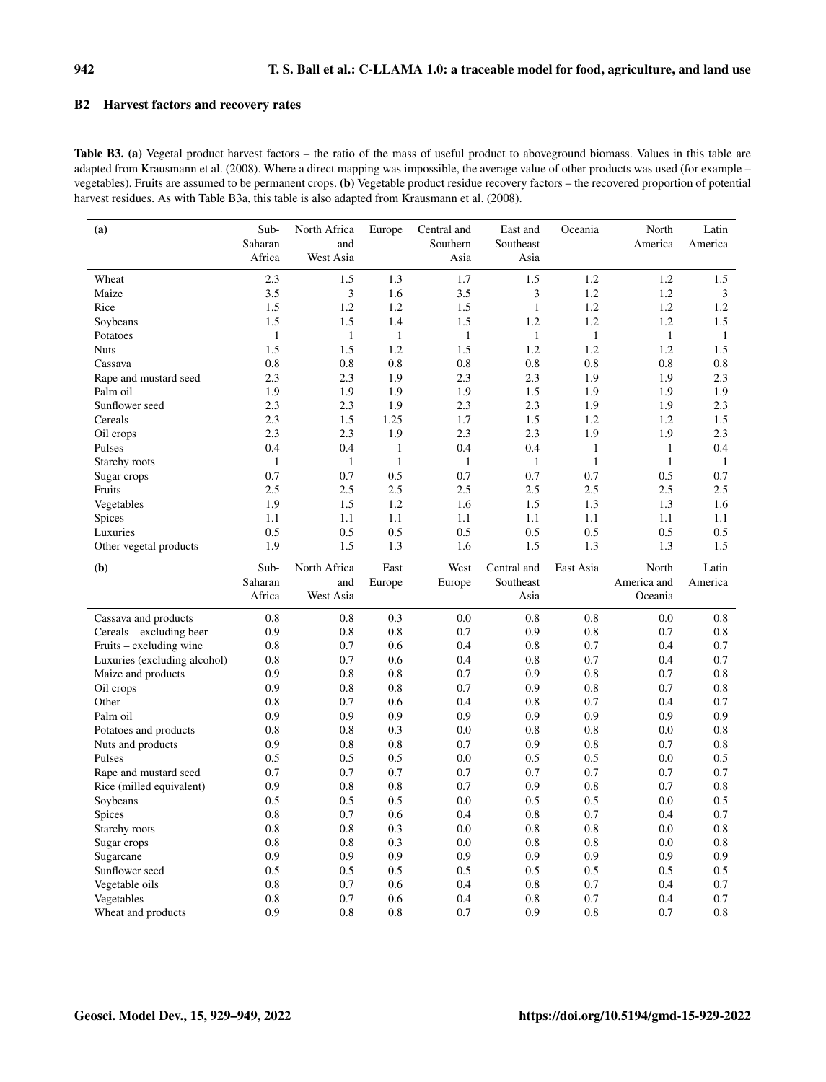# B2 Harvest factors and recovery rates

Table B3. (a) Vegetal product harvest factors – the ratio of the mass of useful product to aboveground biomass. Values in this table are adapted from Krausmann et al. (2008). Where a direct mapping was impossible, the average value of other products was used (for example – vegetables). Fruits are assumed to be permanent crops. (b) Vegetable product residue recovery factors – the recovered proportion of potential harvest residues. As with Table B3a, this table is also adapted from Krausmann et al. (2008).

| (a)                          | Sub-              | North Africa     | Europe       | Central and      | East and          | Oceania      | North        | Latin        |
|------------------------------|-------------------|------------------|--------------|------------------|-------------------|--------------|--------------|--------------|
|                              | Saharan<br>Africa | and<br>West Asia |              | Southern<br>Asia | Southeast<br>Asia |              | America      | America      |
|                              |                   |                  |              |                  |                   |              |              |              |
| Wheat                        | 2.3               | 1.5              | 1.3          | 1.7              | 1.5               | 1.2          | 1.2          | 1.5          |
| Maize                        | 3.5               | 3                | 1.6          | 3.5              | 3                 | 1.2          | 1.2          | 3            |
| Rice                         | 1.5               | 1.2              | 1.2          | 1.5              | $\mathbf{1}$      | 1.2          | 1.2          | 1.2          |
| Soybeans                     | 1.5               | 1.5              | 1.4          | 1.5              | 1.2               | 1.2          | 1.2          | 1.5          |
| Potatoes                     | $\mathbf{1}$      | $\mathbf{1}$     | $\mathbf{1}$ | $\mathbf{1}$     | $\mathbf{1}$      | $\mathbf{1}$ | $\mathbf{1}$ | $\mathbf{1}$ |
| <b>Nuts</b>                  | 1.5               | 1.5              | 1.2          | 1.5              | 1.2               | 1.2          | 1.2          | 1.5          |
| Cassava                      | 0.8               | 0.8              | 0.8          | 0.8              | 0.8               | 0.8          | 0.8          | 0.8          |
| Rape and mustard seed        | 2.3               | 2.3              | 1.9          | 2.3              | 2.3               | 1.9          | 1.9          | 2.3          |
| Palm oil                     | 1.9               | 1.9              | 1.9          | 1.9              | 1.5               | 1.9          | 1.9          | 1.9          |
| Sunflower seed               | 2.3               | 2.3              | 1.9          | 2.3              | 2.3               | 1.9          | 1.9          | 2.3          |
| Cereals                      | 2.3               | 1.5              | 1.25         | 1.7              | 1.5               | 1.2          | 1.2          | 1.5          |
| Oil crops                    | 2.3               | 2.3              | 1.9          | 2.3              | 2.3               | 1.9          | 1.9          | 2.3          |
| Pulses                       | 0.4               | 0.4              | $\mathbf{1}$ | 0.4              | 0.4               | $\mathbf{1}$ | $\mathbf{1}$ | 0.4          |
| Starchy roots                | $\mathbf{1}$      | $\mathbf{1}$     | $\mathbf{1}$ | $\mathbf{1}$     | $\mathbf{1}$      | $\mathbf{1}$ | $\mathbf{1}$ | $\mathbf{1}$ |
| Sugar crops                  | 0.7               | 0.7              | 0.5          | 0.7              | 0.7               | 0.7          | 0.5          | 0.7          |
| Fruits                       | 2.5               | 2.5              | 2.5          | 2.5              | 2.5               | 2.5          | 2.5          | 2.5          |
| Vegetables                   | 1.9               | 1.5              | 1.2          | 1.6              | 1.5               | 1.3          | 1.3          | 1.6          |
| <b>Spices</b>                | 1.1               | 1.1              | 1.1          | 1.1              | 1.1               | 1.1          | 1.1          | 1.1          |
| Luxuries                     | 0.5               | 0.5              | 0.5          | 0.5              | 0.5               | 0.5          | 0.5          | 0.5          |
| Other vegetal products       | 1.9               | 1.5              | 1.3          | 1.6              | 1.5               | 1.3          | 1.3          | 1.5          |
| (b)                          | Sub-              | North Africa     | East         | West             | Central and       | East Asia    | North        | Latin        |
|                              | Saharan           | and              | Europe       | Europe           | Southeast         |              | America and  | America      |
|                              | Africa            | West Asia        |              |                  | Asia              |              | Oceania      |              |
| Cassava and products         | 0.8               | 0.8              | 0.3          | 0.0              | 0.8               | 0.8          | 0.0          | 0.8          |
| Cereals – excluding beer     | 0.9               | 0.8              | 0.8          | 0.7              | 0.9               | 0.8          | 0.7          | 0.8          |
| Fruits – excluding wine      | 0.8               | 0.7              | 0.6          | 0.4              | 0.8               | 0.7          | 0.4          | 0.7          |
| Luxuries (excluding alcohol) | 0.8               | 0.7              | 0.6          | 0.4              | 0.8               | 0.7          | 0.4          | 0.7          |
| Maize and products           | 0.9               | 0.8              | 0.8          | 0.7              | 0.9               | 0.8          | 0.7          | 0.8          |
| Oil crops                    | 0.9               | 0.8              | 0.8          | 0.7              | 0.9               | 0.8          | 0.7          | 0.8          |
| Other                        | 0.8               | 0.7              | 0.6          | 0.4              | 0.8               | 0.7          | 0.4          | 0.7          |
| Palm oil                     | 0.9               | 0.9              | 0.9          | 0.9              | 0.9               | 0.9          | 0.9          | 0.9          |
| Potatoes and products        | 0.8               | 0.8              | 0.3          | 0.0              | 0.8               | 0.8          | 0.0          | 0.8          |
| Nuts and products            | 0.9               | 0.8              | 0.8          | 0.7              | 0.9               | 0.8          | 0.7          | 0.8          |
| Pulses                       | 0.5               | 0.5              | 0.5          | 0.0              | 0.5               | 0.5          | 0.0          | 0.5          |
| Rape and mustard seed        | 0.7               | 0.7              | 0.7          | 0.7              | 0.7               | 0.7          | 0.7          | 0.7          |
| Rice (milled equivalent)     | 0.9               | 0.8              | 0.8          | 0.7              | 0.9               | 0.8          | 0.7          | 0.8          |
| Soybeans                     | 0.5               | 0.5              | 0.5          | 0.0              | 0.5               | 0.5          | 0.0          | 0.5          |
| <b>Spices</b>                | 0.8               | 0.7              | 0.6          | 0.4              | 0.8               | 0.7          | 0.4          | 0.7          |
| Starchy roots                | 0.8               | 0.8              | 0.3          | 0.0              | 0.8               | 0.8          | 0.0          | 0.8          |
| Sugar crops                  | 0.8               | 0.8              | 0.3          | 0.0              | 0.8               | 0.8          | 0.0          | 0.8          |
| Sugarcane                    | 0.9               | 0.9              | 0.9          | 0.9              | 0.9               | 0.9          | 0.9          | 0.9          |
| Sunflower seed               | 0.5               | 0.5              | 0.5          | 0.5              | 0.5               | 0.5          | 0.5          | 0.5          |
| Vegetable oils               | 0.8               | 0.7              | 0.6          | 0.4              | 0.8               | 0.7          | 0.4          | 0.7          |
| Vegetables                   | 0.8               | 0.7              | 0.6          | 0.4              | 0.8               | 0.7          | 0.4          | 0.7          |
| Wheat and products           | 0.9               | 0.8              | 0.8          | 0.7              | 0.9               | 0.8          | 0.7          | 0.8          |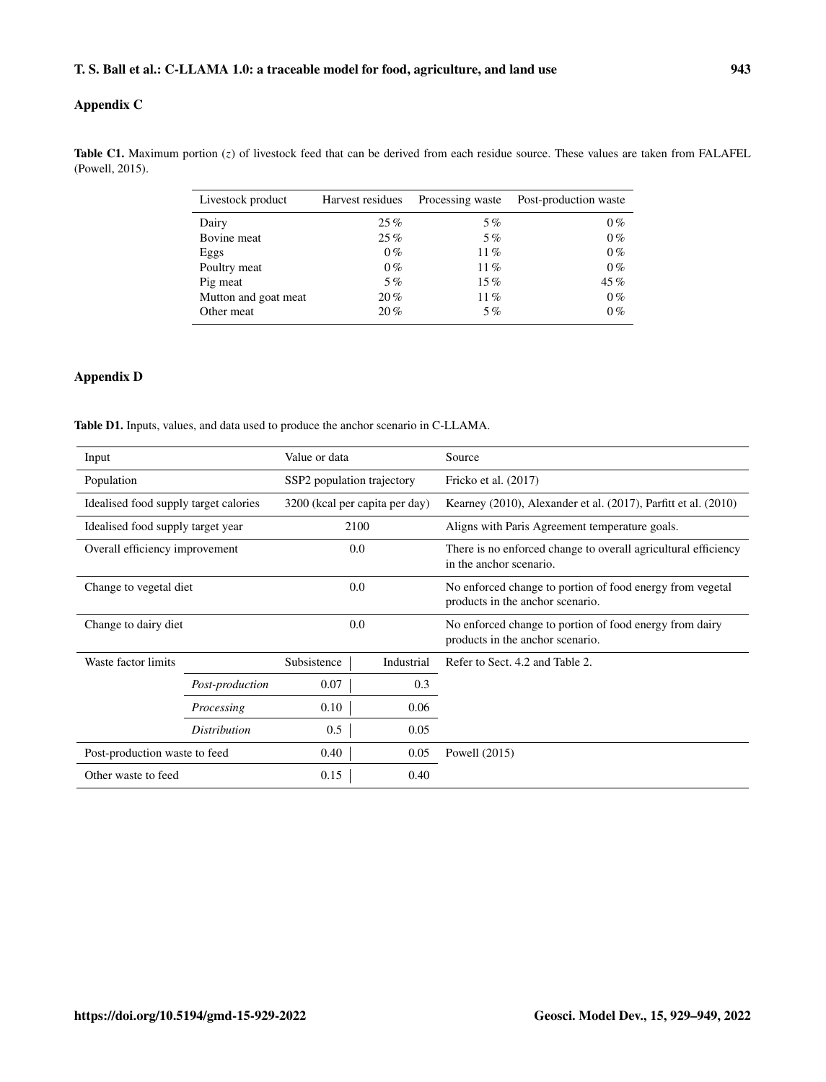# Appendix C

Table C1. Maximum portion  $(z)$  of livestock feed that can be derived from each residue source. These values are taken from FALAFEL (Powell, 2015).

| Livestock product    | Harvest residues | Processing waste | Post-production waste |
|----------------------|------------------|------------------|-----------------------|
| Dairy                | 25%              | 5%               | $0\%$                 |
| Bovine meat          | 25%              | $5\%$            | $0\%$                 |
| Eggs                 | $0\%$            | $11\%$           | $0\%$                 |
| Poultry meat         | $0\%$            | 11%              | $0\%$                 |
| Pig meat             | $5\%$            | $15\%$           | 45%                   |
| Mutton and goat meat | $20\%$           | $11\%$           | $0\%$                 |
| Other meat           | 20%              | 5%               | $0\%$                 |

# Appendix D

Table D1. Inputs, values, and data used to produce the anchor scenario in C-LLAMA.

| Input                                    |                     | Value or data                  |            | Source                                                                                        |  |
|------------------------------------------|---------------------|--------------------------------|------------|-----------------------------------------------------------------------------------------------|--|
| Population<br>SSP2 population trajectory |                     | Fricko et al. (2017)           |            |                                                                                               |  |
| Idealised food supply target calories    |                     | 3200 (kcal per capita per day) |            | Kearney (2010), Alexander et al. (2017), Parfitt et al. (2010)                                |  |
| Idealised food supply target year        |                     | 2100                           |            | Aligns with Paris Agreement temperature goals.                                                |  |
| Overall efficiency improvement           |                     | 0.0                            |            | There is no enforced change to overall agricultural efficiency<br>in the anchor scenario.     |  |
| Change to vegetal diet                   |                     | 0.0                            |            | No enforced change to portion of food energy from vegetal<br>products in the anchor scenario. |  |
| Change to dairy diet                     |                     | 0.0                            |            | No enforced change to portion of food energy from dairy<br>products in the anchor scenario.   |  |
| Waste factor limits                      |                     | Subsistence                    | Industrial | Refer to Sect. 4.2 and Table 2.                                                               |  |
|                                          | Post-production     | 0.07                           | 0.3        |                                                                                               |  |
| 0.10<br>Processing                       |                     | 0.06                           |            |                                                                                               |  |
|                                          | <i>Distribution</i> | 0.5<br>0.05                    |            |                                                                                               |  |
| Post-production waste to feed            |                     | 0.40                           | 0.05       | Powell $(2015)$                                                                               |  |
| Other waste to feed                      |                     | 0.15                           | 0.40       |                                                                                               |  |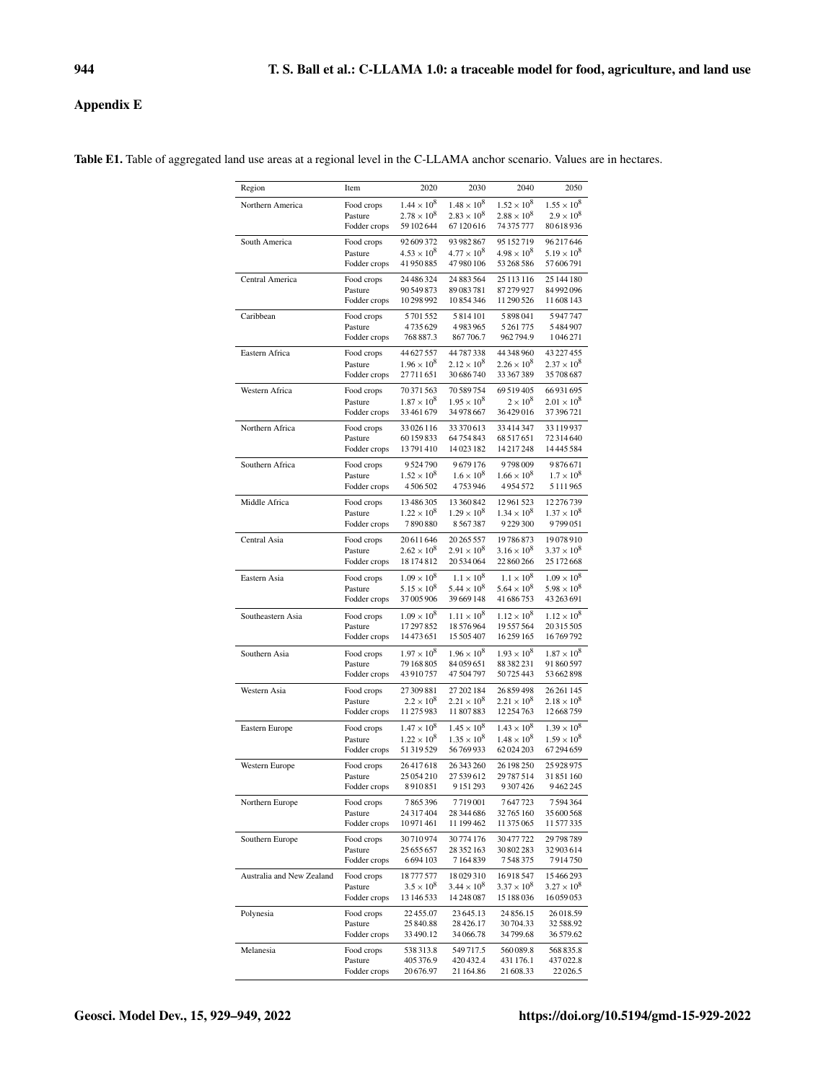# Appendix E

| Region                    | Item                    | 2020                                       | 2030                                        | 2040                           | 2050                                 |
|---------------------------|-------------------------|--------------------------------------------|---------------------------------------------|--------------------------------|--------------------------------------|
| Northern America          | Food crops              | $1.44 \times 10^{8}$                       | $1.48 \times 10^{8}$                        | $1.52 \times 10^{8}$           | $1.55 \times 10^{8}$                 |
|                           | Pasture                 | $2.78 \times 10^8$                         | $2.83 \times 10^{8}$                        | $2.88 \times 10^8$             | $2.9 \times 10^{8}$                  |
|                           | Fodder crops            | 59 102 644                                 | 67120616                                    | 74 375 777                     | 80 618 936                           |
| South America             | Food crops              | 92 609 372                                 | 93 982 867                                  | 95 152 719                     | 96217646                             |
|                           | Pasture                 | $4.53 \times 10^8$<br>41950885             | $4.77 \times 10^{8}$<br>47 980 106          | $4.98 \times 10^{8}$           | $5.19 \times 10^8$<br>57 606 791     |
|                           | Fodder crops            |                                            |                                             | 53 268 586                     |                                      |
| Central America           | Food crops              | 24 48 6324                                 | 24 883 564                                  | 25 113 116                     | 25 144 180                           |
|                           | Pasture<br>Fodder crops | 90 549 873<br>10298992                     | 89083781<br>10854346                        | 87 279 927<br>11 290 526       | 84 992 096<br>11 608 143             |
| Caribbean                 | Food crops              | 5701552                                    | 5814101                                     | 5898041                        | 5947747                              |
|                           | Pasture                 | 4735629                                    | 4983965                                     | 5261775                        | 5484907                              |
|                           | Fodder crops            | 768 887.3                                  | 867 706.7                                   | 962794.9                       | 1046271                              |
| Eastern Africa            | Food crops              | 44 627 557                                 | 44787338                                    | 44 348 960                     | 43 227 455                           |
|                           | Pasture                 | $1.96 \times 10^{8}$                       | $2.12 \times 10^{8}$                        | $2.26 \times 10^{8}$           | $2.37 \times 10^8$                   |
|                           | Fodder crops            | 27711651                                   | 30 686 740                                  | 33 367 389                     | 35 708 687                           |
| Western Africa            | Food crops              | 70371563                                   | 70 589 754                                  | 69 519 405                     | 66 931 695                           |
|                           | Pasture                 | $1.87 \times 10^{8}$                       | $1.95 \times 10^8$                          | $2 \times 10^8$                | $2.01 \times 10^8$                   |
|                           | Fodder crops            | 33461679                                   | 34 978 667                                  | 36429016                       | 37 396 721                           |
| Northern Africa           | Food crops              | 33 0 26 116                                | 33 370 613                                  | 33414347                       | 33 119 937                           |
|                           | Pasture                 | 60 159 833                                 | 64754843                                    | 68 517 651                     | 72 314 640                           |
|                           | Fodder crops            | 13791410                                   | 14023182                                    | 14217248                       | 14 445 584                           |
| Southern Africa           | Food crops              | 9524790                                    | 9679176                                     | 9798009                        | 9876671                              |
|                           | Pasture<br>Fodder crops | $1.52 \times 10^{8}$<br>4506502            | $1.6 \times 10^{8}$<br>4753946              | $1.66 \times 10^8$<br>4954572  | $1.7 \times 10^{8}$<br>5 1 1 1 9 6 5 |
|                           |                         |                                            |                                             |                                |                                      |
| Middle Africa             | Food crops              | 13486305<br>$1.22 \times 10^8$             | 13 360 842                                  | 12961523                       | 12 276 739<br>$1.37 \times 10^{8}$   |
|                           | Pasture<br>Fodder crops | 7890880                                    | $1.29 \times 10^8$<br>8567387               | $1.34 \times 10^8$<br>9229300  | 9799051                              |
|                           |                         |                                            |                                             |                                |                                      |
| Central Asia              | Food crops<br>Pasture   | 20611646<br>$2.62 \times 10^{8}$           | 20 265 557<br>$2.91 \times 10^{8}$          | 19786873<br>$3.16 \times 10^8$ | 19078910<br>$3.37 \times 10^8$       |
|                           | Fodder crops            | 18 174 812                                 | 20 534 064                                  | 22 860 266                     | 25 172 668                           |
|                           |                         |                                            |                                             | $1.1 \times 10^{8}$            | $1.09 \times 10^8$                   |
| Eastern Asia              | Food crops<br>Pasture   | $1.09 \times 10^8$<br>$5.15 \times 10^{8}$ | $1.1 \times 10^{8}$<br>$5.44 \times 10^{8}$ | $5.64 \times 10^{8}$           | $5.98 \times 10^8$                   |
|                           | Fodder crops            | 37005906                                   | 39 669 148                                  | 41 686 753                     | 43 263 691                           |
| Southeastern Asia         | Food crops              | $1.09 \times 10^{8}$                       | $1.11 \times 10^8$                          | $1.12 \times 10^8$             | $1.12 \times 10^{8}$                 |
|                           | Pasture                 | 17297852                                   | 18576964                                    | 19557564                       | 20 315 505                           |
|                           | Fodder crops            | 14473651                                   | 15 505 407                                  | 16259165                       | 16769792                             |
| Southern Asia             | Food crops              | $1.97 \times 10^{8}$                       | $1.96 \times 10^8$                          | $1.93 \times 10^{8}$           | $1.87 \times 10^{8}$                 |
|                           | Pasture                 | 79 168 805                                 | 84 059 651                                  | 88 382 231                     | 91 860 597                           |
|                           | Fodder crops            | 43910757                                   | 47 504 797                                  | 50725443                       | 53 662 898                           |
| Western Asia              | Food crops              | 27 309 881                                 | 27 202 184                                  | 26859498                       | 26 261 145                           |
|                           | Pasture                 | $2.2 \times 10^{8}$                        | $2.21 \times 10^{8}$                        | $2.21 \times 10^{8}$           | $2.18 \times 10^8$                   |
|                           | Fodder crops            | 11 275 983                                 | 11807883                                    | 12 254 763                     | 12668759                             |
| Eastern Europe            | Food crops              | $1.47 \times 10^{8}$                       | $1.45 \times 10^8$                          | $1.43 \times 10^{8}$           | $1.39 \times 10^{8}$                 |
|                           | Pasture                 | $1.22 \times 10^{8}$                       | $1.35 \times 10^8$                          | $1.48 \times 10^{8}$           | $1.59 \times 10^{8}$                 |
|                           | Fodder crops            | 51319529                                   | 56769933                                    | 62024203                       | 67294659                             |
| Western Europe            | Food crops              | 26417618                                   | 26 343 260                                  | 26 198 250                     | 25928975                             |
|                           | Pasture                 | 25 054 210                                 | 27 539 612<br>9 15 1 2 9 3                  | 29787514<br>9 307 4 26         | 31851160<br>9462245                  |
|                           | Fodder crops            | 8 9 1 0 8 5 1                              |                                             |                                |                                      |
| Northern Europe           | Food crops              | 7865396                                    | 7719001                                     | 7647723                        | 7594364                              |
|                           | Pasture<br>Fodder crops | 24 317 404<br>10971461                     | 28 344 686<br>11 199 462                    | 32765160<br>11 375 065         | 35 600 568<br>11 577 335             |
|                           |                         |                                            |                                             |                                |                                      |
| Southern Europe           | Food crops<br>Pasture   | 30710974<br>25 655 657                     | 30774176<br>28 352 163                      | 30477722<br>30 802 283         | 29 798 789<br>32 903 614             |
|                           | Fodder crops            | 6694103                                    | 7164839                                     | 7548375                        | 7914750                              |
| Australia and New Zealand | Food crops              | 18777577                                   | 18029310                                    | 16918547                       | 15466293                             |
|                           | Pasture                 | $3.5 \times 10^{8}$                        | $3.44 \times 10^{8}$                        | $3.37 \times 10^{8}$           | $3.27 \times 10^8$                   |
|                           | Fodder crops            | 13 146 533                                 | 14 248 087                                  | 15 188 036                     | 16059053                             |
| Polynesia                 | Food crops              | 22455.07                                   | 23 645.13                                   | 24 856.15                      | 26 018.59                            |
|                           | Pasture                 | 25 840.88                                  | 28 4 26.17                                  | 30704.33                       | 32 588.92                            |
|                           | Fodder crops            | 33 490.12                                  | 34 066.78                                   | 34799.68                       | 36 579.62                            |
| Melanesia                 | Food crops              | 538313.8                                   | 549 717.5                                   | 560089.8                       | 568 835.8                            |
|                           | Pasture                 | 405376.9                                   | 420 432.4                                   | 431 176.1                      | 437022.8                             |
|                           | Fodder crops            | 20676.97                                   | 21 164.86                                   | 21 608.33                      | 22026.5                              |

Table E1. Table of aggregated land use areas at a regional level in the C-LLAMA anchor scenario. Values are in hectares.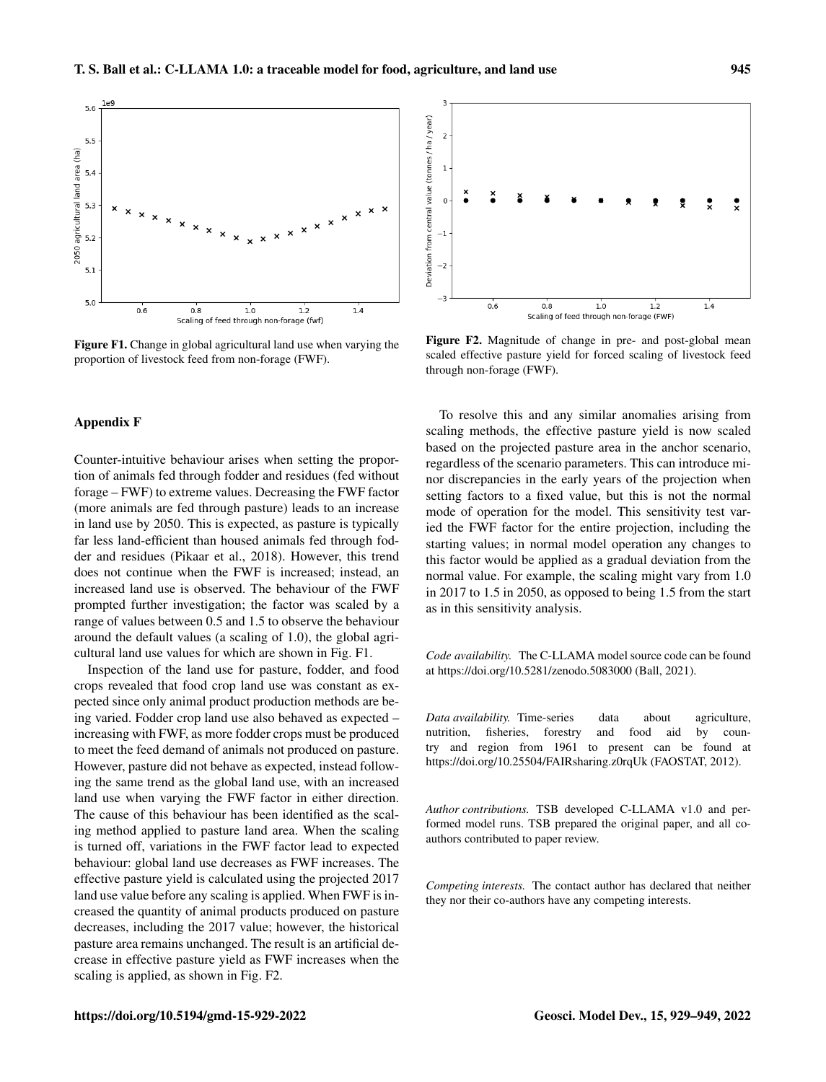

Figure F1. Change in global agricultural land use when varying the proportion of livestock feed from non-forage (FWF).

# Appendix F

Counter-intuitive behaviour arises when setting the proportion of animals fed through fodder and residues (fed without forage – FWF) to extreme values. Decreasing the FWF factor (more animals are fed through pasture) leads to an increase in land use by 2050. This is expected, as pasture is typically far less land-efficient than housed animals fed through fodder and residues (Pikaar et al., 2018). However, this trend does not continue when the FWF is increased; instead, an increased land use is observed. The behaviour of the FWF prompted further investigation; the factor was scaled by a range of values between 0.5 and 1.5 to observe the behaviour around the default values (a scaling of 1.0), the global agricultural land use values for which are shown in Fig. F1.

Inspection of the land use for pasture, fodder, and food crops revealed that food crop land use was constant as expected since only animal product production methods are being varied. Fodder crop land use also behaved as expected – increasing with FWF, as more fodder crops must be produced to meet the feed demand of animals not produced on pasture. However, pasture did not behave as expected, instead following the same trend as the global land use, with an increased land use when varying the FWF factor in either direction. The cause of this behaviour has been identified as the scaling method applied to pasture land area. When the scaling is turned off, variations in the FWF factor lead to expected behaviour: global land use decreases as FWF increases. The effective pasture yield is calculated using the projected 2017 land use value before any scaling is applied. When FWF is increased the quantity of animal products produced on pasture decreases, including the 2017 value; however, the historical pasture area remains unchanged. The result is an artificial decrease in effective pasture yield as FWF increases when the scaling is applied, as shown in Fig. F2.



Figure F2. Magnitude of change in pre- and post-global mean scaled effective pasture yield for forced scaling of livestock feed through non-forage (FWF).

To resolve this and any similar anomalies arising from scaling methods, the effective pasture yield is now scaled based on the projected pasture area in the anchor scenario, regardless of the scenario parameters. This can introduce minor discrepancies in the early years of the projection when setting factors to a fixed value, but this is not the normal mode of operation for the model. This sensitivity test varied the FWF factor for the entire projection, including the starting values; in normal model operation any changes to this factor would be applied as a gradual deviation from the normal value. For example, the scaling might vary from 1.0 in 2017 to 1.5 in 2050, as opposed to being 1.5 from the start as in this sensitivity analysis.

*Code availability.* The C-LLAMA model source code can be found at https://doi.org[/10.5281/zenodo.5083000](https://doi.org/10.5281/zenodo.5083000) (Ball, 2021).

*Data availability.* Time-series data about agriculture, nutrition, fisheries, forestry and food aid by country and region from 1961 to present can be found at https://doi.org[/10.25504/FAIRsharing.z0rqUk](https://doi.org/10.25504/FAIRsharing.z0rqUk) (FAOSTAT, 2012).

*Author contributions.* TSB developed C-LLAMA v1.0 and performed model runs. TSB prepared the original paper, and all coauthors contributed to paper review.

*Competing interests.* The contact author has declared that neither they nor their co-authors have any competing interests.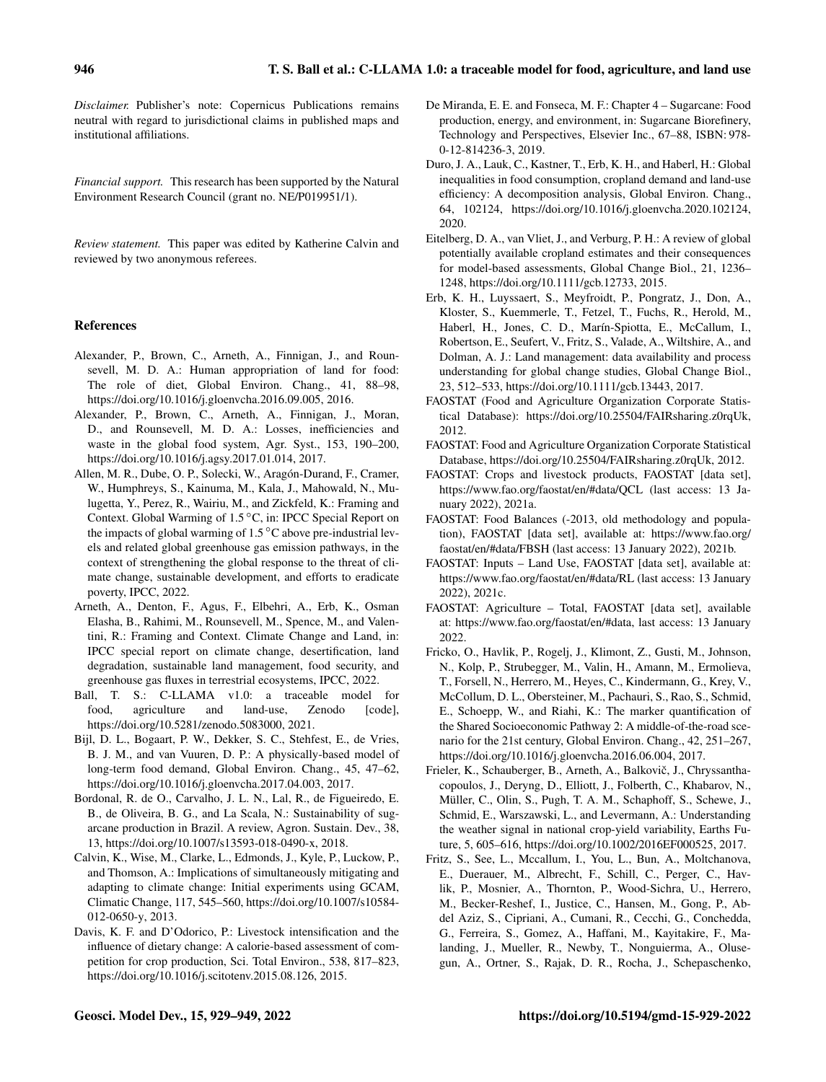*Disclaimer.* Publisher's note: Copernicus Publications remains neutral with regard to jurisdictional claims in published maps and institutional affiliations.

*Financial support.* This research has been supported by the Natural Environment Research Council (grant no. NE/P019951/1).

*Review statement.* This paper was edited by Katherine Calvin and reviewed by two anonymous referees.

## References

- Alexander, P., Brown, C., Arneth, A., Finnigan, J., and Rounsevell, M. D. A.: Human appropriation of land for food: The role of diet, Global Environ. Chang., 41, 88–98, https://doi.org[/10.1016/j.gloenvcha.2016.09.005,](https://doi.org/10.1016/j.gloenvcha.2016.09.005) 2016.
- Alexander, P., Brown, C., Arneth, A., Finnigan, J., Moran, D., and Rounsevell, M. D. A.: Losses, inefficiencies and waste in the global food system, Agr. Syst., 153, 190–200, https://doi.org[/10.1016/j.agsy.2017.01.014,](https://doi.org/10.1016/j.agsy.2017.01.014) 2017.
- Allen, M. R., Dube, O. P., Solecki, W., Aragón-Durand, F., Cramer, W., Humphreys, S., Kainuma, M., Kala, J., Mahowald, N., Mulugetta, Y., Perez, R., Wairiu, M., and Zickfeld, K.: Framing and Context. Global Warming of 1.5 ◦C, in: IPCC Special Report on the impacts of global warming of  $1.5^{\circ}$ C above pre-industrial levels and related global greenhouse gas emission pathways, in the context of strengthening the global response to the threat of climate change, sustainable development, and efforts to eradicate poverty, IPCC, 2022.
- Arneth, A., Denton, F., Agus, F., Elbehri, A., Erb, K., Osman Elasha, B., Rahimi, M., Rounsevell, M., Spence, M., and Valentini, R.: Framing and Context. Climate Change and Land, in: IPCC special report on climate change, desertification, land degradation, sustainable land management, food security, and greenhouse gas fluxes in terrestrial ecosystems, IPCC, 2022.
- Ball, T. S.: C-LLAMA v1.0: a traceable model for food, agriculture and land-use, Zenodo [code], https://doi.org[/10.5281/zenodo.5083000,](https://doi.org/10.5281/zenodo.5083000) 2021.
- Bijl, D. L., Bogaart, P. W., Dekker, S. C., Stehfest, E., de Vries, B. J. M., and van Vuuren, D. P.: A physically-based model of long-term food demand, Global Environ. Chang., 45, 47–62, https://doi.org[/10.1016/j.gloenvcha.2017.04.003,](https://doi.org/10.1016/j.gloenvcha.2017.04.003) 2017.
- Bordonal, R. de O., Carvalho, J. L. N., Lal, R., de Figueiredo, E. B., de Oliveira, B. G., and La Scala, N.: Sustainability of sugarcane production in Brazil. A review, Agron. Sustain. Dev., 38, 13, https://doi.org[/10.1007/s13593-018-0490-x,](https://doi.org/10.1007/s13593-018-0490-x) 2018.
- Calvin, K., Wise, M., Clarke, L., Edmonds, J., Kyle, P., Luckow, P., and Thomson, A.: Implications of simultaneously mitigating and adapting to climate change: Initial experiments using GCAM, Climatic Change, 117, 545–560, https://doi.org[/10.1007/s10584-](https://doi.org/10.1007/s10584-012-0650-y) [012-0650-y,](https://doi.org/10.1007/s10584-012-0650-y) 2013.
- Davis, K. F. and D'Odorico, P.: Livestock intensification and the influence of dietary change: A calorie-based assessment of competition for crop production, Sci. Total Environ., 538, 817–823, https://doi.org[/10.1016/j.scitotenv.2015.08.126,](https://doi.org/10.1016/j.scitotenv.2015.08.126) 2015.
- De Miranda, E. E. and Fonseca, M. F.: Chapter 4 Sugarcane: Food production, energy, and environment, in: Sugarcane Biorefinery, Technology and Perspectives, Elsevier Inc., 67–88, ISBN: 978- 0-12-814236-3, 2019.
- Duro, J. A., Lauk, C., Kastner, T., Erb, K. H., and Haberl, H.: Global inequalities in food consumption, cropland demand and land-use efficiency: A decomposition analysis, Global Environ. Chang., 64, 102124, https://doi.org[/10.1016/j.gloenvcha.2020.102124,](https://doi.org/10.1016/j.gloenvcha.2020.102124) 2020.
- Eitelberg, D. A., van Vliet, J., and Verburg, P. H.: A review of global potentially available cropland estimates and their consequences for model-based assessments, Global Change Biol., 21, 1236– 1248, https://doi.org[/10.1111/gcb.12733,](https://doi.org/10.1111/gcb.12733) 2015.
- Erb, K. H., Luyssaert, S., Meyfroidt, P., Pongratz, J., Don, A., Kloster, S., Kuemmerle, T., Fetzel, T., Fuchs, R., Herold, M., Haberl, H., Jones, C. D., Marín-Spiotta, E., McCallum, I., Robertson, E., Seufert, V., Fritz, S., Valade, A., Wiltshire, A., and Dolman, A. J.: Land management: data availability and process understanding for global change studies, Global Change Biol., 23, 512–533, https://doi.org[/10.1111/gcb.13443,](https://doi.org/10.1111/gcb.13443) 2017.
- FAOSTAT (Food and Agriculture Organization Corporate Statistical Database): https://doi.org[/10.25504/FAIRsharing.z0rqUk,](https://doi.org/10.25504/FAIRsharing.z0rqUk) 2012.
- FAOSTAT: Food and Agriculture Organization Corporate Statistical Database, https://doi.org[/10.25504/FAIRsharing.z0rqUk,](https://doi.org/10.25504/FAIRsharing.z0rqUk) 2012.
- FAOSTAT: Crops and livestock products, FAOSTAT [data set], <https://www.fao.org/faostat/en/#data/QCL> (last access: 13 January 2022), 2021a.
- FAOSTAT: Food Balances (-2013, old methodology and population), FAOSTAT [data set], available at: [https://www.fao.org/](https://www.fao.org/faostat/en/#data/FBSH) [faostat/en/#data/FBSH](https://www.fao.org/faostat/en/#data/FBSH) (last access: 13 January 2022), 2021b.
- FAOSTAT: Inputs Land Use, FAOSTAT [data set], available at: <https://www.fao.org/faostat/en/#data/RL> (last access: 13 January 2022), 2021c.
- FAOSTAT: Agriculture Total, FAOSTAT [data set], available at: [https://www.fao.org/faostat/en/#data,](https://www.fao.org/faostat/en/#data) last access: 13 January 2022.
- Fricko, O., Havlik, P., Rogelj, J., Klimont, Z., Gusti, M., Johnson, N., Kolp, P., Strubegger, M., Valin, H., Amann, M., Ermolieva, T., Forsell, N., Herrero, M., Heyes, C., Kindermann, G., Krey, V., McCollum, D. L., Obersteiner, M., Pachauri, S., Rao, S., Schmid, E., Schoepp, W., and Riahi, K.: The marker quantification of the Shared Socioeconomic Pathway 2: A middle-of-the-road scenario for the 21st century, Global Environ. Chang., 42, 251–267, https://doi.org[/10.1016/j.gloenvcha.2016.06.004,](https://doi.org/10.1016/j.gloenvcha.2016.06.004) 2017.
- Frieler, K., Schauberger, B., Arneth, A., Balkovič, J., Chryssanthacopoulos, J., Deryng, D., Elliott, J., Folberth, C., Khabarov, N., Müller, C., Olin, S., Pugh, T. A. M., Schaphoff, S., Schewe, J., Schmid, E., Warszawski, L., and Levermann, A.: Understanding the weather signal in national crop-yield variability, Earths Future, 5, 605–616, https://doi.org[/10.1002/2016EF000525,](https://doi.org/10.1002/2016EF000525) 2017.
- Fritz, S., See, L., Mccallum, I., You, L., Bun, A., Moltchanova, E., Duerauer, M., Albrecht, F., Schill, C., Perger, C., Havlik, P., Mosnier, A., Thornton, P., Wood-Sichra, U., Herrero, M., Becker-Reshef, I., Justice, C., Hansen, M., Gong, P., Abdel Aziz, S., Cipriani, A., Cumani, R., Cecchi, G., Conchedda, G., Ferreira, S., Gomez, A., Haffani, M., Kayitakire, F., Malanding, J., Mueller, R., Newby, T., Nonguierma, A., Olusegun, A., Ortner, S., Rajak, D. R., Rocha, J., Schepaschenko,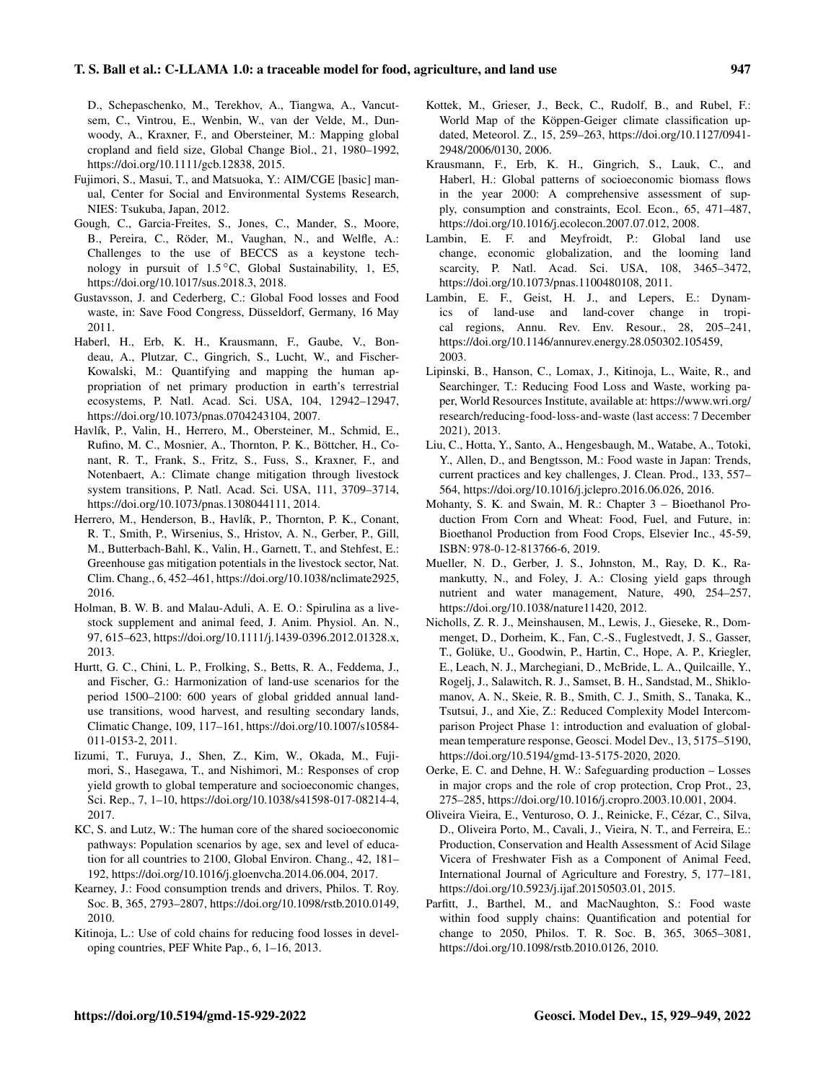D., Schepaschenko, M., Terekhov, A., Tiangwa, A., Vancutsem, C., Vintrou, E., Wenbin, W., van der Velde, M., Dunwoody, A., Kraxner, F., and Obersteiner, M.: Mapping global cropland and field size, Global Change Biol., 21, 1980–1992, https://doi.org[/10.1111/gcb.12838,](https://doi.org/10.1111/gcb.12838) 2015.

- Fujimori, S., Masui, T., and Matsuoka, Y.: AIM/CGE [basic] manual, Center for Social and Environmental Systems Research, NIES: Tsukuba, Japan, 2012.
- Gough, C., Garcia-Freites, S., Jones, C., Mander, S., Moore, B., Pereira, C., Röder, M., Vaughan, N., and Welfle, A.: Challenges to the use of BECCS as a keystone technology in pursuit of 1.5 ◦C, Global Sustainability, 1, E5, https://doi.org[/10.1017/sus.2018.3,](https://doi.org/10.1017/sus.2018.3) 2018.
- Gustavsson, J. and Cederberg, C.: Global Food losses and Food waste, in: Save Food Congress, Düsseldorf, Germany, 16 May 2011.
- Haberl, H., Erb, K. H., Krausmann, F., Gaube, V., Bondeau, A., Plutzar, C., Gingrich, S., Lucht, W., and Fischer-Kowalski, M.: Quantifying and mapping the human appropriation of net primary production in earth's terrestrial ecosystems, P. Natl. Acad. Sci. USA, 104, 12942–12947, https://doi.org[/10.1073/pnas.0704243104,](https://doi.org/10.1073/pnas.0704243104) 2007.
- Havlík, P., Valin, H., Herrero, M., Obersteiner, M., Schmid, E., Rufino, M. C., Mosnier, A., Thornton, P. K., Böttcher, H., Conant, R. T., Frank, S., Fritz, S., Fuss, S., Kraxner, F., and Notenbaert, A.: Climate change mitigation through livestock system transitions, P. Natl. Acad. Sci. USA, 111, 3709–3714, https://doi.org[/10.1073/pnas.1308044111,](https://doi.org/10.1073/pnas.1308044111) 2014.
- Herrero, M., Henderson, B., Havlík, P., Thornton, P. K., Conant, R. T., Smith, P., Wirsenius, S., Hristov, A. N., Gerber, P., Gill, M., Butterbach-Bahl, K., Valin, H., Garnett, T., and Stehfest, E.: Greenhouse gas mitigation potentials in the livestock sector, Nat. Clim. Chang., 6, 452–461, https://doi.org[/10.1038/nclimate2925,](https://doi.org/10.1038/nclimate2925) 2016.
- Holman, B. W. B. and Malau-Aduli, A. E. O.: Spirulina as a livestock supplement and animal feed, J. Anim. Physiol. An. N., 97, 615–623, https://doi.org[/10.1111/j.1439-0396.2012.01328.x,](https://doi.org/10.1111/j.1439-0396.2012.01328.x) 2013.
- Hurtt, G. C., Chini, L. P., Frolking, S., Betts, R. A., Feddema, J., and Fischer, G.: Harmonization of land-use scenarios for the period 1500–2100: 600 years of global gridded annual landuse transitions, wood harvest, and resulting secondary lands, Climatic Change, 109, 117–161, https://doi.org[/10.1007/s10584-](https://doi.org/10.1007/s10584-011-0153-2) [011-0153-2,](https://doi.org/10.1007/s10584-011-0153-2) 2011.
- Iizumi, T., Furuya, J., Shen, Z., Kim, W., Okada, M., Fujimori, S., Hasegawa, T., and Nishimori, M.: Responses of crop yield growth to global temperature and socioeconomic changes, Sci. Rep., 7, 1–10, https://doi.org[/10.1038/s41598-017-08214-4,](https://doi.org/10.1038/s41598-017-08214-4) 2017.
- KC, S. and Lutz, W.: The human core of the shared socioeconomic pathways: Population scenarios by age, sex and level of education for all countries to 2100, Global Environ. Chang., 42, 181– 192, https://doi.org[/10.1016/j.gloenvcha.2014.06.004,](https://doi.org/10.1016/j.gloenvcha.2014.06.004) 2017.
- Kearney, J.: Food consumption trends and drivers, Philos. T. Roy. Soc. B, 365, 2793–2807, https://doi.org[/10.1098/rstb.2010.0149,](https://doi.org/10.1098/rstb.2010.0149) 2010.
- Kitinoja, L.: Use of cold chains for reducing food losses in developing countries, PEF White Pap., 6, 1–16, 2013.
- Kottek, M., Grieser, J., Beck, C., Rudolf, B., and Rubel, F.: World Map of the Köppen-Geiger climate classification updated, Meteorol. Z., 15, 259–263, https://doi.org[/10.1127/0941-](https://doi.org/10.1127/0941-2948/2006/0130) [2948/2006/0130,](https://doi.org/10.1127/0941-2948/2006/0130) 2006.
- Krausmann, F., Erb, K. H., Gingrich, S., Lauk, C., and Haberl, H.: Global patterns of socioeconomic biomass flows in the year 2000: A comprehensive assessment of supply, consumption and constraints, Ecol. Econ., 65, 471–487, https://doi.org[/10.1016/j.ecolecon.2007.07.012,](https://doi.org/10.1016/j.ecolecon.2007.07.012) 2008.
- Lambin, E. F. and Meyfroidt, P.: Global land use change, economic globalization, and the looming land scarcity, P. Natl. Acad. Sci. USA, 108, 3465–3472, https://doi.org[/10.1073/pnas.1100480108,](https://doi.org/10.1073/pnas.1100480108) 2011.
- Lambin, E. F., Geist, H. J., and Lepers, E.: Dynamics of land-use and land-cover change in tropical regions, Annu. Rev. Env. Resour., 28, 205–241, https://doi.org[/10.1146/annurev.energy.28.050302.105459,](https://doi.org/10.1146/annurev.energy.28.050302.105459) 2003.
- Lipinski, B., Hanson, C., Lomax, J., Kitinoja, L., Waite, R., and Searchinger, T.: Reducing Food Loss and Waste, working paper, World Resources Institute, available at: [https://www.wri.org/](https://www.wri.org/research/reducing-food-loss-and-waste) [research/reducing-food-loss-and-waste](https://www.wri.org/research/reducing-food-loss-and-waste) (last access: 7 December 2021), 2013.
- Liu, C., Hotta, Y., Santo, A., Hengesbaugh, M., Watabe, A., Totoki, Y., Allen, D., and Bengtsson, M.: Food waste in Japan: Trends, current practices and key challenges, J. Clean. Prod., 133, 557– 564, https://doi.org[/10.1016/j.jclepro.2016.06.026,](https://doi.org/10.1016/j.jclepro.2016.06.026) 2016.
- Mohanty, S. K. and Swain, M. R.: Chapter 3 Bioethanol Production From Corn and Wheat: Food, Fuel, and Future, in: Bioethanol Production from Food Crops, Elsevier Inc., 45-59, ISBN: 978-0-12-813766-6, 2019.
- Mueller, N. D., Gerber, J. S., Johnston, M., Ray, D. K., Ramankutty, N., and Foley, J. A.: Closing yield gaps through nutrient and water management, Nature, 490, 254–257, https://doi.org[/10.1038/nature11420,](https://doi.org/10.1038/nature11420) 2012.
- Nicholls, Z. R. J., Meinshausen, M., Lewis, J., Gieseke, R., Dommenget, D., Dorheim, K., Fan, C.-S., Fuglestvedt, J. S., Gasser, T., Golüke, U., Goodwin, P., Hartin, C., Hope, A. P., Kriegler, E., Leach, N. J., Marchegiani, D., McBride, L. A., Quilcaille, Y., Rogelj, J., Salawitch, R. J., Samset, B. H., Sandstad, M., Shiklomanov, A. N., Skeie, R. B., Smith, C. J., Smith, S., Tanaka, K., Tsutsui, J., and Xie, Z.: Reduced Complexity Model Intercomparison Project Phase 1: introduction and evaluation of globalmean temperature response, Geosci. Model Dev., 13, 5175–5190, https://doi.org[/10.5194/gmd-13-5175-2020,](https://doi.org/10.5194/gmd-13-5175-2020) 2020.
- Oerke, E. C. and Dehne, H. W.: Safeguarding production Losses in major crops and the role of crop protection, Crop Prot., 23, 275–285, https://doi.org[/10.1016/j.cropro.2003.10.001,](https://doi.org/10.1016/j.cropro.2003.10.001) 2004.
- Oliveira Vieira, E., Venturoso, O. J., Reinicke, F., Cézar, C., Silva, D., Oliveira Porto, M., Cavali, J., Vieira, N. T., and Ferreira, E.: Production, Conservation and Health Assessment of Acid Silage Vicera of Freshwater Fish as a Component of Animal Feed, International Journal of Agriculture and Forestry, 5, 177–181, https://doi.org[/10.5923/j.ijaf.20150503.01,](https://doi.org/10.5923/j.ijaf.20150503.01) 2015.
- Parfitt, J., Barthel, M., and MacNaughton, S.: Food waste within food supply chains: Quantification and potential for change to 2050, Philos. T. R. Soc. B, 365, 3065–3081, https://doi.org[/10.1098/rstb.2010.0126,](https://doi.org/10.1098/rstb.2010.0126) 2010.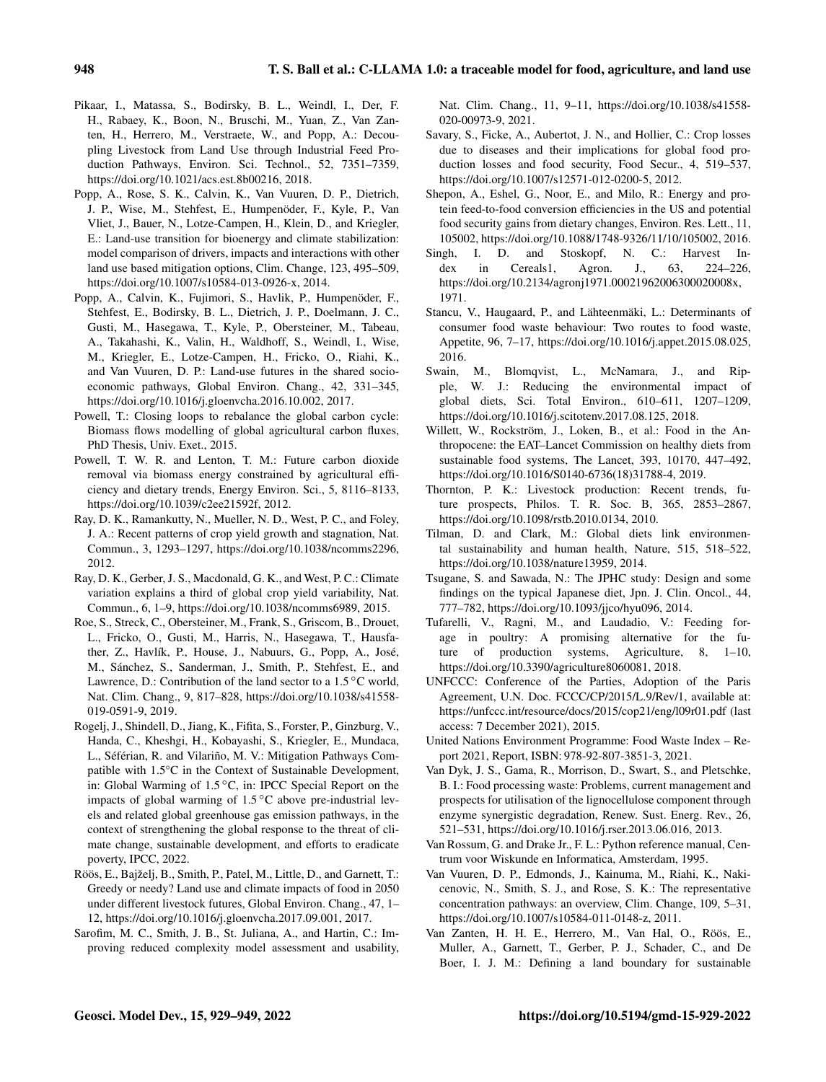- Pikaar, I., Matassa, S., Bodirsky, B. L., Weindl, I., Der, F. H., Rabaey, K., Boon, N., Bruschi, M., Yuan, Z., Van Zanten, H., Herrero, M., Verstraete, W., and Popp, A.: Decoupling Livestock from Land Use through Industrial Feed Production Pathways, Environ. Sci. Technol., 52, 7351–7359, https://doi.org[/10.1021/acs.est.8b00216,](https://doi.org/10.1021/acs.est.8b00216) 2018.
- Popp, A., Rose, S. K., Calvin, K., Van Vuuren, D. P., Dietrich, J. P., Wise, M., Stehfest, E., Humpenöder, F., Kyle, P., Van Vliet, J., Bauer, N., Lotze-Campen, H., Klein, D., and Kriegler, E.: Land-use transition for bioenergy and climate stabilization: model comparison of drivers, impacts and interactions with other land use based mitigation options, Clim. Change, 123, 495–509, https://doi.org[/10.1007/s10584-013-0926-x,](https://doi.org/10.1007/s10584-013-0926-x) 2014.
- Popp, A., Calvin, K., Fujimori, S., Havlik, P., Humpenöder, F., Stehfest, E., Bodirsky, B. L., Dietrich, J. P., Doelmann, J. C., Gusti, M., Hasegawa, T., Kyle, P., Obersteiner, M., Tabeau, A., Takahashi, K., Valin, H., Waldhoff, S., Weindl, I., Wise, M., Kriegler, E., Lotze-Campen, H., Fricko, O., Riahi, K., and Van Vuuren, D. P.: Land-use futures in the shared socioeconomic pathways, Global Environ. Chang., 42, 331–345, https://doi.org[/10.1016/j.gloenvcha.2016.10.002,](https://doi.org/10.1016/j.gloenvcha.2016.10.002) 2017.
- Powell, T.: Closing loops to rebalance the global carbon cycle: Biomass flows modelling of global agricultural carbon fluxes, PhD Thesis, Univ. Exet., 2015.
- Powell, T. W. R. and Lenton, T. M.: Future carbon dioxide removal via biomass energy constrained by agricultural efficiency and dietary trends, Energy Environ. Sci., 5, 8116–8133, https://doi.org[/10.1039/c2ee21592f,](https://doi.org/10.1039/c2ee21592f) 2012.
- Ray, D. K., Ramankutty, N., Mueller, N. D., West, P. C., and Foley, J. A.: Recent patterns of crop yield growth and stagnation, Nat. Commun., 3, 1293–1297, https://doi.org[/10.1038/ncomms2296,](https://doi.org/10.1038/ncomms2296) 2012.
- Ray, D. K., Gerber, J. S., Macdonald, G. K., and West, P. C.: Climate variation explains a third of global crop yield variability, Nat. Commun., 6, 1–9, https://doi.org[/10.1038/ncomms6989,](https://doi.org/10.1038/ncomms6989) 2015.
- Roe, S., Streck, C., Obersteiner, M., Frank, S., Griscom, B., Drouet, L., Fricko, O., Gusti, M., Harris, N., Hasegawa, T., Hausfather, Z., Havlík, P., House, J., Nabuurs, G., Popp, A., José, M., Sánchez, S., Sanderman, J., Smith, P., Stehfest, E., and Lawrence, D.: Contribution of the land sector to a 1.5 ℃ world, Nat. Clim. Chang., 9, 817–828, https://doi.org[/10.1038/s41558-](https://doi.org/10.1038/s41558-019-0591-9) [019-0591-9,](https://doi.org/10.1038/s41558-019-0591-9) 2019.
- Rogelj, J., Shindell, D., Jiang, K., Fifita, S., Forster, P., Ginzburg, V., Handa, C., Kheshgi, H., Kobayashi, S., Kriegler, E., Mundaca, L., Séférian, R. and Vilariño, M. V.: Mitigation Pathways Compatible with 1.5°C in the Context of Sustainable Development, in: Global Warming of 1.5 ◦C, in: IPCC Special Report on the impacts of global warming of 1.5 ◦C above pre-industrial levels and related global greenhouse gas emission pathways, in the context of strengthening the global response to the threat of climate change, sustainable development, and efforts to eradicate poverty, IPCC, 2022.
- Röös, E., Bajželj, B., Smith, P., Patel, M., Little, D., and Garnett, T.: Greedy or needy? Land use and climate impacts of food in 2050 under different livestock futures, Global Environ. Chang., 47, 1– 12, https://doi.org[/10.1016/j.gloenvcha.2017.09.001,](https://doi.org/10.1016/j.gloenvcha.2017.09.001) 2017.
- Sarofim, M. C., Smith, J. B., St. Juliana, A., and Hartin, C.: Improving reduced complexity model assessment and usability,

Nat. Clim. Chang., 11, 9–11, https://doi.org[/10.1038/s41558-](https://doi.org/10.1038/s41558-020-00973-9) [020-00973-9,](https://doi.org/10.1038/s41558-020-00973-9) 2021.

- Savary, S., Ficke, A., Aubertot, J. N., and Hollier, C.: Crop losses due to diseases and their implications for global food production losses and food security, Food Secur., 4, 519–537, https://doi.org[/10.1007/s12571-012-0200-5,](https://doi.org/10.1007/s12571-012-0200-5) 2012.
- Shepon, A., Eshel, G., Noor, E., and Milo, R.: Energy and protein feed-to-food conversion efficiencies in the US and potential food security gains from dietary changes, Environ. Res. Lett., 11, 105002, https://doi.org[/10.1088/1748-9326/11/10/105002,](https://doi.org/10.1088/1748-9326/11/10/105002) 2016.
- Singh, I. D. and Stoskopf, N. C.: Harvest Index in Cereals1, Agron. J., 63, 224–226, https://doi.org[/10.2134/agronj1971.00021962006300020008x,](https://doi.org/10.2134/agronj1971.00021962006300020008x) 1971.
- Stancu, V., Haugaard, P., and Lähteenmäki, L.: Determinants of consumer food waste behaviour: Two routes to food waste, Appetite, 96, 7–17, https://doi.org[/10.1016/j.appet.2015.08.025,](https://doi.org/10.1016/j.appet.2015.08.025) 2016.
- Swain, M., Blomqvist, L., McNamara, J., and Ripple, W. J.: Reducing the environmental impact of global diets, Sci. Total Environ., 610–611, 1207–1209, https://doi.org[/10.1016/j.scitotenv.2017.08.125,](https://doi.org/10.1016/j.scitotenv.2017.08.125) 2018.
- Willett, W., Rockström, J., Loken, B., et al.: Food in the Anthropocene: the EAT–Lancet Commission on healthy diets from sustainable food systems, The Lancet, 393, 10170, 447–492, https://doi.org[/10.1016/S0140-6736\(18\)31788-4,](https://doi.org/10.1016/S0140-6736(18)31788-4) 2019.
- Thornton, P. K.: Livestock production: Recent trends, future prospects, Philos. T. R. Soc. B, 365, 2853–2867, https://doi.org[/10.1098/rstb.2010.0134,](https://doi.org/10.1098/rstb.2010.0134) 2010.
- Tilman, D. and Clark, M.: Global diets link environmental sustainability and human health, Nature, 515, 518–522, https://doi.org[/10.1038/nature13959,](https://doi.org/10.1038/nature13959) 2014.
- Tsugane, S. and Sawada, N.: The JPHC study: Design and some findings on the typical Japanese diet, Jpn. J. Clin. Oncol., 44, 777–782, https://doi.org[/10.1093/jjco/hyu096,](https://doi.org/10.1093/jjco/hyu096) 2014.
- Tufarelli, V., Ragni, M., and Laudadio, V.: Feeding forage in poultry: A promising alternative for the future of production systems, Agriculture, 8, 1–10, https://doi.org[/10.3390/agriculture8060081,](https://doi.org/10.3390/agriculture8060081) 2018.
- UNFCCC: Conference of the Parties, Adoption of the Paris Agreement, U.N. Doc. FCCC/CP/2015/L.9/Rev/1, available at: <https://unfccc.int/resource/docs/2015/cop21/eng/l09r01.pdf> (last access: 7 December 2021), 2015.
- United Nations Environment Programme: Food Waste Index Report 2021, Report, ISBN: 978-92-807-3851-3, 2021.
- Van Dyk, J. S., Gama, R., Morrison, D., Swart, S., and Pletschke, B. I.: Food processing waste: Problems, current management and prospects for utilisation of the lignocellulose component through enzyme synergistic degradation, Renew. Sust. Energ. Rev., 26, 521–531, https://doi.org[/10.1016/j.rser.2013.06.016,](https://doi.org/10.1016/j.rser.2013.06.016) 2013.
- Van Rossum, G. and Drake Jr., F. L.: Python reference manual, Centrum voor Wiskunde en Informatica, Amsterdam, 1995.
- Van Vuuren, D. P., Edmonds, J., Kainuma, M., Riahi, K., Nakicenovic, N., Smith, S. J., and Rose, S. K.: The representative concentration pathways: an overview, Clim. Change, 109, 5–31, https://doi.org[/10.1007/s10584-011-0148-z,](https://doi.org/10.1007/s10584-011-0148-z) 2011.
- Van Zanten, H. H. E., Herrero, M., Van Hal, O., Röös, E., Muller, A., Garnett, T., Gerber, P. J., Schader, C., and De Boer, I. J. M.: Defining a land boundary for sustainable